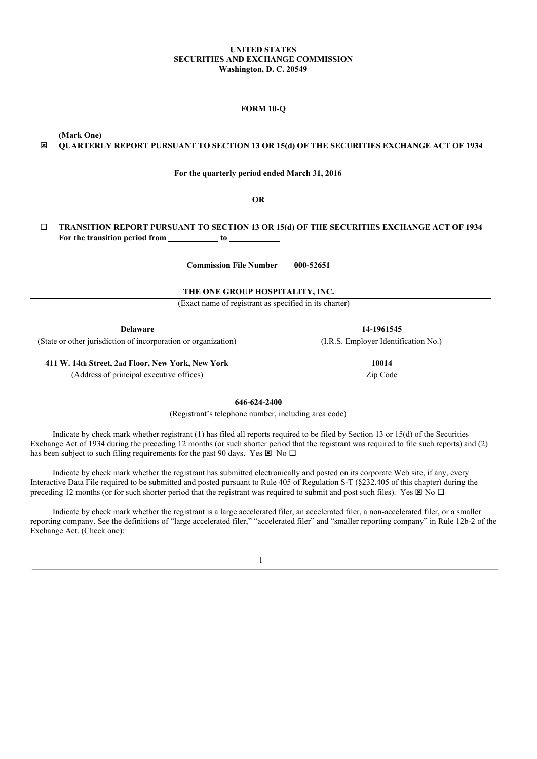#### **UNITED STATES SECURITIES AND EXCHANGE COMMISSION Washington, D. C. 20549**

## **FORM 10-Q**

<span id="page-0-0"></span>**(Mark One)**

# ý **QUARTERLY REPORT PURSUANT TO SECTION 13 OR 15(d) OF THE SECURITIES EXCHANGE ACT OF 1934**

**For the quarterly period ended March 31, 2016**

**OR**

# ¨ **TRANSITION REPORT PURSUANT TO SECTION 13 OR 15(d) OF THE SECURITIES EXCHANGE ACT OF 1934 For the transition period from to**

**Commission File Number 000-52651**

**THE ONE GROUP HOSPITALITY, INC.**

(Exact name of registrant as specified in its charter)

**Delaware 14-1961545**

(State or other jurisdiction of incorporation or organization) (I.R.S. Employer Identification No.)

**411 W. 14th Street, 2nd Floor, New York, New York 10014** (Address of principal executive offices)  $Zip$  Code

**646-624-2400**

(Registrant's telephone number, including area code)

Indicate by check mark whether registrant (1) has filed all reports required to be filed by Section 13 or 15(d) of the Securities Exchange Act of 1934 during the preceding 12 months (or such shorter period that the registrant was required to file such reports) and (2) has been subject to such filing requirements for the past 90 days. Yes  $\overline{\boxtimes}$  No  $\Box$ 

Indicate by check mark whether the registrant has submitted electronically and posted on its corporate Web site, if any, every Interactive Data File required to be submitted and posted pursuant to Rule 405 of Regulation S-T (§232.405 of this chapter) during the preceding 12 months (or for such shorter period that the registrant was required to submit and post such files). Yes  $\boxtimes$  No  $\Box$ 

Indicate by check mark whether the registrant is a large accelerated filer, an accelerated filer, a non-accelerated filer, or a smaller reporting company. See the definitions of "large accelerated filer," "accelerated filer" and "smaller reporting company" in Rule 12b-2 of the Exchange Act. (Check one):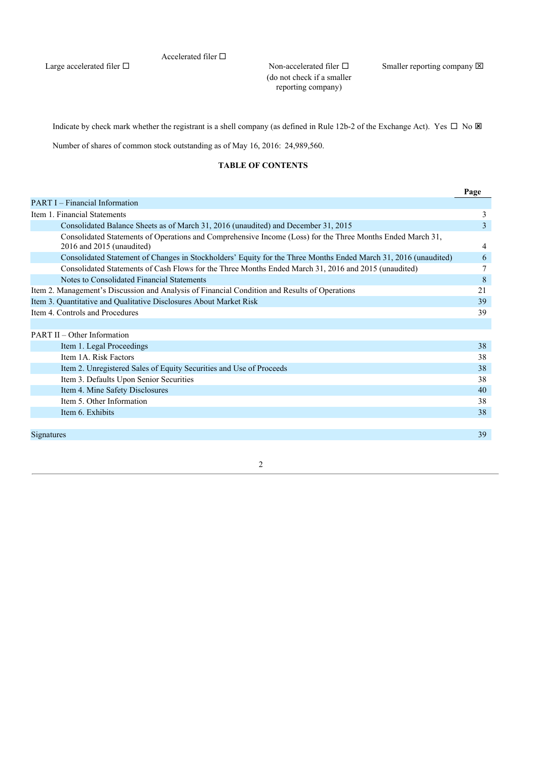# Accelerated filer  $\square$

Large accelerated filer  $\Box$ 

(do not check if a smaller reporting company)

Non-accelerated filer  $\square$  Smaller reporting company  $\boxtimes$ 

Indicate by check mark whether the registrant is a shell company (as defined in Rule 12b-2 of the Exchange Act). Yes  $\Box$  No  $\boxtimes$ 

Number of shares of common stock outstanding as of May 16, 2016: 24,989,560.

# **TABLE OF CONTENTS**

|                                                                                                                                         | Page |
|-----------------------------------------------------------------------------------------------------------------------------------------|------|
| <b>PART I</b> – Financial Information                                                                                                   |      |
| Item 1. Financial Statements                                                                                                            | 3    |
| Consolidated Balance Sheets as of March 31, 2016 (unaudited) and December 31, 2015                                                      | 3    |
| Consolidated Statements of Operations and Comprehensive Income (Loss) for the Three Months Ended March 31,<br>2016 and 2015 (unaudited) | 4    |
| Consolidated Statement of Changes in Stockholders' Equity for the Three Months Ended March 31, 2016 (unaudited)                         | 6    |
| Consolidated Statements of Cash Flows for the Three Months Ended March 31, 2016 and 2015 (unaudited)                                    |      |
| Notes to Consolidated Financial Statements                                                                                              | 8    |
| Item 2. Management's Discussion and Analysis of Financial Condition and Results of Operations                                           | 21   |
| Item 3. Quantitative and Qualitative Disclosures About Market Risk                                                                      | 39   |
| Item 4. Controls and Procedures                                                                                                         | 39   |
|                                                                                                                                         |      |
| <b>PART II – Other Information</b>                                                                                                      |      |
| Item 1. Legal Proceedings                                                                                                               | 38   |
| Item 1A. Risk Factors                                                                                                                   | 38   |
| Item 2. Unregistered Sales of Equity Securities and Use of Proceeds                                                                     | 38   |
| Item 3. Defaults Upon Senior Securities                                                                                                 | 38   |
| Item 4. Mine Safety Disclosures                                                                                                         | 40   |
| Item 5. Other Information                                                                                                               | 38   |
| Item 6. Exhibits                                                                                                                        | 38   |
|                                                                                                                                         |      |
| Signatures                                                                                                                              | 39   |
|                                                                                                                                         |      |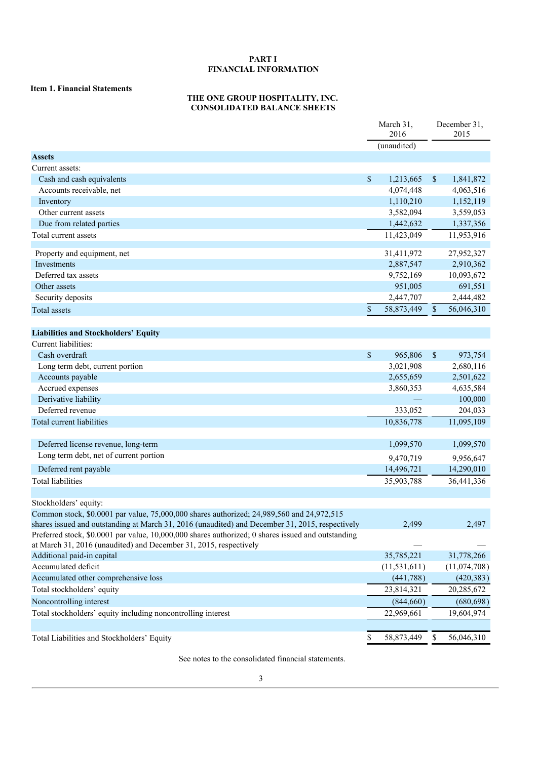# **PART I FINANCIAL INFORMATION**

# **Item 1. Financial Statements**

# **THE ONE GROUP HOSPITALITY, INC. CONSOLIDATED BALANCE SHEETS**

|                                                                                                                                                                         | March 31,<br>2016 |             | December 31,<br>2015 |
|-------------------------------------------------------------------------------------------------------------------------------------------------------------------------|-------------------|-------------|----------------------|
|                                                                                                                                                                         | (unaudited)       |             |                      |
| <b>Assets</b>                                                                                                                                                           |                   |             |                      |
| Current assets:                                                                                                                                                         |                   |             |                      |
| Cash and cash equivalents                                                                                                                                               | \$<br>1,213,665   | $\sqrt{\ }$ | 1,841,872            |
| Accounts receivable, net                                                                                                                                                | 4,074,448         |             | 4,063,516            |
| Inventory                                                                                                                                                               | 1,110,210         |             | 1,152,119            |
| Other current assets                                                                                                                                                    | 3,582,094         |             | 3,559,053            |
| Due from related parties                                                                                                                                                | 1,442,632         |             | 1,337,356            |
| Total current assets                                                                                                                                                    | 11,423,049        |             | 11,953,916           |
| Property and equipment, net                                                                                                                                             | 31,411,972        |             | 27,952,327           |
| Investments                                                                                                                                                             | 2,887,547         |             | 2,910,362            |
| Deferred tax assets                                                                                                                                                     | 9,752,169         |             | 10,093,672           |
| Other assets                                                                                                                                                            | 951,005           |             | 691,551              |
| Security deposits                                                                                                                                                       | 2,447,707         |             | 2,444,482            |
| Total assets                                                                                                                                                            | \$<br>58,873,449  | $\sqrt{\ }$ | 56,046,310           |
|                                                                                                                                                                         |                   |             |                      |
| <b>Liabilities and Stockholders' Equity</b>                                                                                                                             |                   |             |                      |
| Current liabilities:                                                                                                                                                    |                   |             |                      |
| Cash overdraft                                                                                                                                                          | \$<br>965,806     | $\sqrt{S}$  | 973,754              |
| Long term debt, current portion                                                                                                                                         | 3,021,908         |             | 2,680,116            |
| Accounts payable                                                                                                                                                        | 2,655,659         |             | 2,501,622            |
| Accrued expenses                                                                                                                                                        | 3,860,353         |             | 4,635,584            |
| Derivative liability                                                                                                                                                    |                   |             | 100,000              |
| Deferred revenue                                                                                                                                                        | 333,052           |             | 204,033              |
| Total current liabilities                                                                                                                                               | 10,836,778        |             | 11,095,109           |
|                                                                                                                                                                         |                   |             |                      |
| Deferred license revenue, long-term                                                                                                                                     | 1,099,570         |             | 1,099,570            |
| Long term debt, net of current portion                                                                                                                                  | 9,470,719         |             | 9,956,647            |
| Deferred rent payable                                                                                                                                                   | 14,496,721        |             | 14,290,010           |
| <b>Total liabilities</b>                                                                                                                                                | 35,903,788        |             | 36,441,336           |
|                                                                                                                                                                         |                   |             |                      |
| Stockholders' equity:                                                                                                                                                   |                   |             |                      |
| Common stock, \$0.0001 par value, 75,000,000 shares authorized; 24,989,560 and 24,972,515                                                                               |                   |             |                      |
| shares issued and outstanding at March 31, 2016 (unaudited) and December 31, 2015, respectively                                                                         | 2,499             |             | 2,497                |
| Preferred stock, \$0.0001 par value, 10,000,000 shares authorized; 0 shares issued and outstanding<br>at March 31, 2016 (unaudited) and December 31, 2015, respectively |                   |             |                      |
| Additional paid-in capital                                                                                                                                              | 35,785,221        |             | 31,778,266           |
| Accumulated deficit                                                                                                                                                     | (11, 531, 611)    |             | (11,074,708)         |
| Accumulated other comprehensive loss                                                                                                                                    | (441,788)         |             | (420, 383)           |
| Total stockholders' equity                                                                                                                                              | 23,814,321        |             | 20,285,672           |
| Noncontrolling interest                                                                                                                                                 | (844, 660)        |             | (680, 698)           |
| Total stockholders' equity including noncontrolling interest                                                                                                            | 22,969,661        |             | 19,604,974           |
|                                                                                                                                                                         |                   |             |                      |
| Total Liabilities and Stockholders' Equity                                                                                                                              | \$<br>58,873,449  | \$          | 56,046,310           |

See notes to the consolidated financial statements.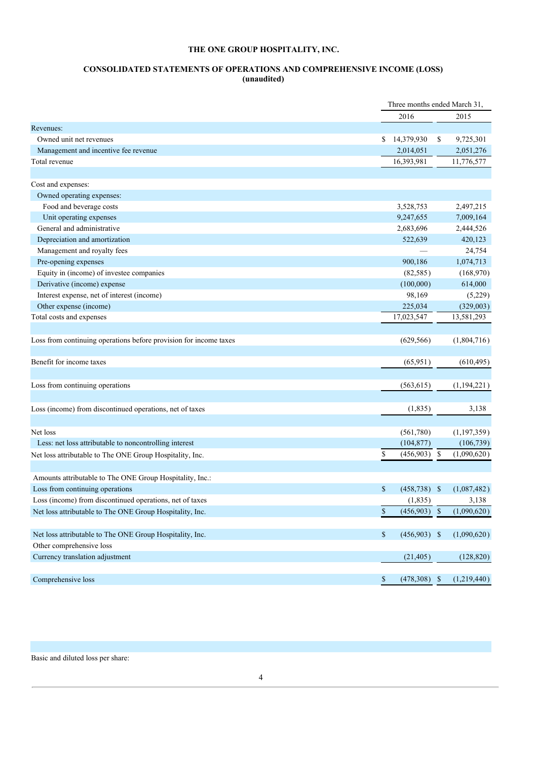# **CONSOLIDATED STATEMENTS OF OPERATIONS AND COMPREHENSIVE INCOME (LOSS) (unaudited)**

|                                                                   |                        | Three months ended March 31, |             |  |
|-------------------------------------------------------------------|------------------------|------------------------------|-------------|--|
|                                                                   | 2016                   |                              | 2015        |  |
| Revenues:                                                         |                        |                              |             |  |
| Owned unit net revenues                                           | 14,379,930<br>S.       | \$                           | 9,725,301   |  |
| Management and incentive fee revenue                              | 2,014,051              |                              | 2,051,276   |  |
| Total revenue                                                     | 16,393,981             |                              | 11,776,577  |  |
|                                                                   |                        |                              |             |  |
| Cost and expenses:                                                |                        |                              |             |  |
| Owned operating expenses:                                         |                        |                              |             |  |
| Food and beverage costs                                           | 3,528,753              |                              | 2,497,215   |  |
| Unit operating expenses                                           | 9,247,655              |                              | 7,009,164   |  |
| General and administrative                                        | 2,683,696              |                              | 2,444,526   |  |
| Depreciation and amortization                                     | 522,639                |                              | 420,123     |  |
| Management and royalty fees                                       |                        |                              | 24,754      |  |
| Pre-opening expenses                                              | 900,186                |                              | 1,074,713   |  |
| Equity in (income) of investee companies                          | (82, 585)              |                              | (168,970)   |  |
| Derivative (income) expense                                       | (100,000)              |                              | 614,000     |  |
| Interest expense, net of interest (income)                        | 98,169                 |                              | (5,229)     |  |
| Other expense (income)                                            | 225,034                |                              | (329,003)   |  |
| Total costs and expenses                                          | 17,023,547             |                              | 13,581,293  |  |
|                                                                   |                        |                              |             |  |
| Loss from continuing operations before provision for income taxes | (629, 566)             |                              | (1,804,716) |  |
| Benefit for income taxes                                          | (65, 951)              |                              | (610, 495)  |  |
|                                                                   |                        |                              |             |  |
| Loss from continuing operations                                   | (563, 615)             |                              | (1,194,221) |  |
|                                                                   |                        |                              |             |  |
| Loss (income) from discontinued operations, net of taxes          | (1, 835)               |                              | 3,138       |  |
| Net loss                                                          | (561,780)              |                              | (1,197,359) |  |
| Less: net loss attributable to noncontrolling interest            | (104, 877)             |                              | (106, 739)  |  |
| Net loss attributable to The ONE Group Hospitality, Inc.          | \$<br>(456,903)        | \$                           | (1,090,620) |  |
| Amounts attributable to The ONE Group Hospitality, Inc.:          |                        |                              |             |  |
| Loss from continuing operations                                   | \$<br>$(458, 738)$ \$  |                              | (1,087,482) |  |
| Loss (income) from discontinued operations, net of taxes          | (1, 835)               |                              | 3,138       |  |
| Net loss attributable to The ONE Group Hospitality, Inc.          | \$<br>$(456,903)$ \$   |                              | (1,090,620) |  |
|                                                                   |                        |                              |             |  |
| Net loss attributable to The ONE Group Hospitality, Inc.          | \$<br>$(456,903)$ \$   |                              | (1,090,620) |  |
| Other comprehensive loss                                          |                        |                              |             |  |
| Currency translation adjustment                                   | (21, 405)              |                              | (128, 820)  |  |
| Comprehensive loss                                                | $\$$<br>$(478,308)$ \$ |                              | (1,219,440) |  |

Basic and diluted loss per share: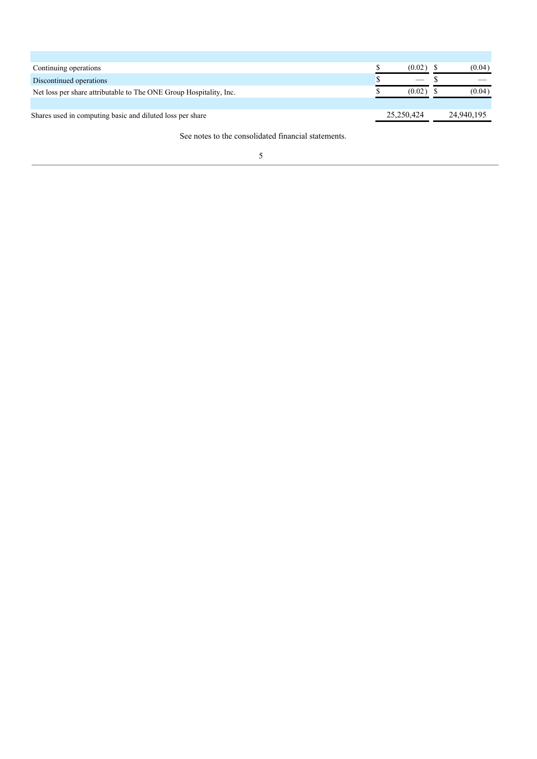| Continuing operations                                              | (0.02)     | (0.04)     |
|--------------------------------------------------------------------|------------|------------|
| Discontinued operations                                            |            |            |
| Net loss per share attributable to The ONE Group Hospitality, Inc. | (0.02)     | (0.04)     |
|                                                                    |            |            |
| Shares used in computing basic and diluted loss per share          | 25.250.424 | 24,940,195 |
|                                                                    |            |            |

See notes to the consolidated financial statements.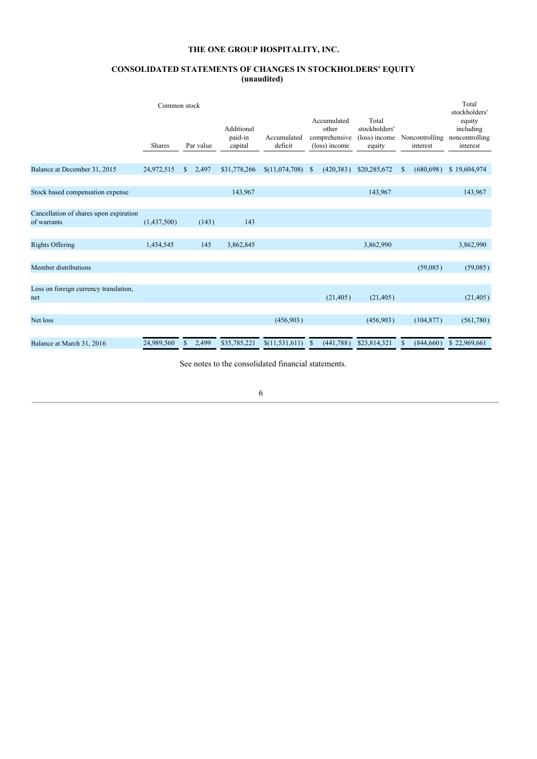# **CONSOLIDATED STATEMENTS OF CHANGES IN STOCKHOLDERS' EQUITY (unaudited)**

|                                                       | Common stock  |    |           |                                  |                        |               |                                                        |                                                   |                            | Total<br>stockholders'                            |
|-------------------------------------------------------|---------------|----|-----------|----------------------------------|------------------------|---------------|--------------------------------------------------------|---------------------------------------------------|----------------------------|---------------------------------------------------|
|                                                       | <b>Shares</b> |    | Par value | Additional<br>paid-in<br>capital | Accumulated<br>deficit |               | Accumulated<br>other<br>comprehensive<br>(loss) income | Total<br>stockholders'<br>(loss) income<br>equity | Noncontrolling<br>interest | equity<br>including<br>noncontrolling<br>interest |
|                                                       |               |    |           |                                  |                        |               |                                                        |                                                   |                            |                                                   |
| Balance at December 31, 2015                          | 24,972,515    | \$ | 2,497     | \$31,778,266                     | \$(11,074,708)         | -\$           | (420, 383)                                             | \$20,285,672                                      | \$<br>(680, 698)           | \$19,604,974                                      |
|                                                       |               |    |           |                                  |                        |               |                                                        |                                                   |                            |                                                   |
| Stock based compensation expense                      |               |    |           | 143,967                          |                        |               |                                                        | 143,967                                           |                            | 143,967                                           |
|                                                       |               |    |           |                                  |                        |               |                                                        |                                                   |                            |                                                   |
| Cancellation of shares upon expiration<br>of warrants | (1,437,500)   |    | (143)     | 143                              |                        |               |                                                        |                                                   |                            |                                                   |
|                                                       |               |    |           |                                  |                        |               |                                                        |                                                   |                            |                                                   |
| <b>Rights Offering</b>                                | 1,454,545     |    | 145       | 3,862,845                        |                        |               |                                                        | 3,862,990                                         |                            | 3,862,990                                         |
|                                                       |               |    |           |                                  |                        |               |                                                        |                                                   |                            |                                                   |
| Member distributions                                  |               |    |           |                                  |                        |               |                                                        |                                                   | (59,085)                   | (59,085)                                          |
|                                                       |               |    |           |                                  |                        |               |                                                        |                                                   |                            |                                                   |
| Loss on foreign currency translation,<br>net          |               |    |           |                                  |                        |               | (21, 405)                                              | (21, 405)                                         |                            | (21, 405)                                         |
|                                                       |               |    |           |                                  |                        |               |                                                        |                                                   |                            |                                                   |
| Net loss                                              |               |    |           |                                  | (456,903)              |               |                                                        | (456,903)                                         | (104, 877)                 | (561,780)                                         |
|                                                       |               |    |           |                                  |                        |               |                                                        |                                                   |                            |                                                   |
| Balance at March 31, 2016                             | 24,989,560    | S  | 2,499     | \$35,785,221                     | \$(11,531,611)         | <sup>\$</sup> | (441,788)                                              | \$23,814,321                                      | \$<br>(844,660)            | \$22,969,661                                      |

See notes to the consolidated financial statements.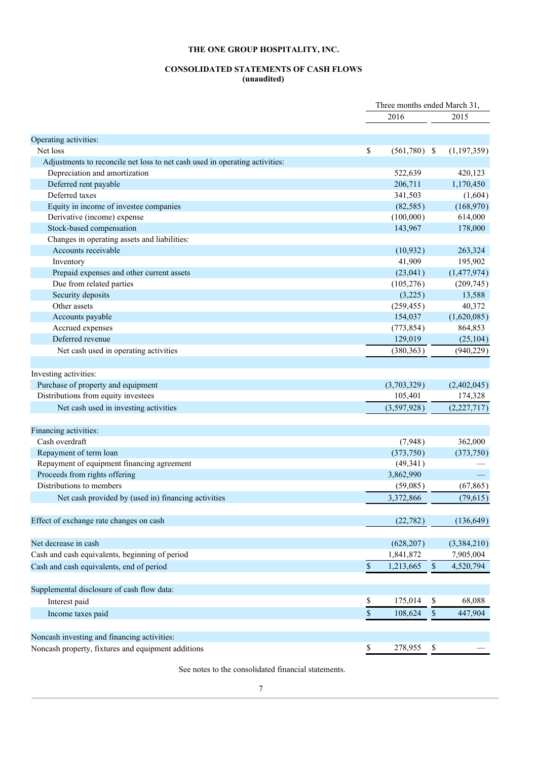# **CONSOLIDATED STATEMENTS OF CASH FLOWS (unaudited)**

|                                                                             | Three months ended March 31, |             |               |
|-----------------------------------------------------------------------------|------------------------------|-------------|---------------|
|                                                                             | 2016                         |             | 2015          |
| Operating activities:                                                       |                              |             |               |
| Net loss                                                                    | \$<br>$(561,780)$ \$         |             | (1, 197, 359) |
| Adjustments to reconcile net loss to net cash used in operating activities: |                              |             |               |
| Depreciation and amortization                                               | 522,639                      |             | 420,123       |
| Deferred rent payable                                                       | 206,711                      |             | 1,170,450     |
| Deferred taxes                                                              | 341,503                      |             | (1,604)       |
| Equity in income of investee companies                                      | (82, 585)                    |             | (168,970)     |
| Derivative (income) expense                                                 | (100,000)                    |             | 614,000       |
| Stock-based compensation                                                    | 143,967                      |             | 178,000       |
| Changes in operating assets and liabilities:                                |                              |             |               |
| Accounts receivable                                                         | (10, 932)                    |             | 263,324       |
| Inventory                                                                   | 41,909                       |             | 195,902       |
| Prepaid expenses and other current assets                                   | (23,041)                     |             | (1,477,974)   |
| Due from related parties                                                    | (105, 276)                   |             | (209, 745)    |
| Security deposits                                                           | (3,225)                      |             | 13,588        |
| Other assets                                                                | (259, 455)                   |             | 40,372        |
| Accounts payable                                                            | 154,037                      |             | (1,620,085)   |
| Accrued expenses                                                            | (773, 854)                   |             | 864,853       |
| Deferred revenue                                                            | 129,019                      |             | (25, 104)     |
| Net cash used in operating activities                                       | (380, 363)                   |             | (940, 229)    |
| Investing activities:                                                       |                              |             |               |
| Purchase of property and equipment                                          | (3,703,329)                  |             | (2,402,045)   |
| Distributions from equity investees                                         | 105,401                      |             | 174,328       |
|                                                                             |                              |             |               |
| Net cash used in investing activities                                       | (3,597,928)                  |             | (2,227,717)   |
| Financing activities:                                                       |                              |             |               |
| Cash overdraft                                                              | (7,948)                      |             | 362,000       |
| Repayment of term loan                                                      | (373,750)                    |             | (373,750)     |
| Repayment of equipment financing agreement                                  | (49, 341)                    |             |               |
| Proceeds from rights offering                                               | 3,862,990                    |             |               |
| Distributions to members                                                    | (59,085)                     |             | (67, 865)     |
| Net cash provided by (used in) financing activities                         | 3,372,866                    |             | (79,615)      |
| Effect of exchange rate changes on cash                                     | (22, 782)                    |             | (136, 649)    |
| Net decrease in cash                                                        | (628, 207)                   |             | (3,384,210)   |
| Cash and cash equivalents, beginning of period                              | 1,841,872                    |             | 7,905,004     |
| Cash and cash equivalents, end of period                                    | \$<br>1,213,665              | $\mathbb S$ | 4,520,794     |
|                                                                             |                              |             |               |
| Supplemental disclosure of cash flow data:                                  |                              |             |               |
| Interest paid                                                               | \$<br>175,014                | \$          | 68,088        |
| Income taxes paid                                                           | \$<br>108,624                | \$          | 447,904       |
| Noncash investing and financing activities:                                 |                              |             |               |
| Noncash property, fixtures and equipment additions                          | \$<br>278,955                | \$          |               |

See notes to the consolidated financial statements.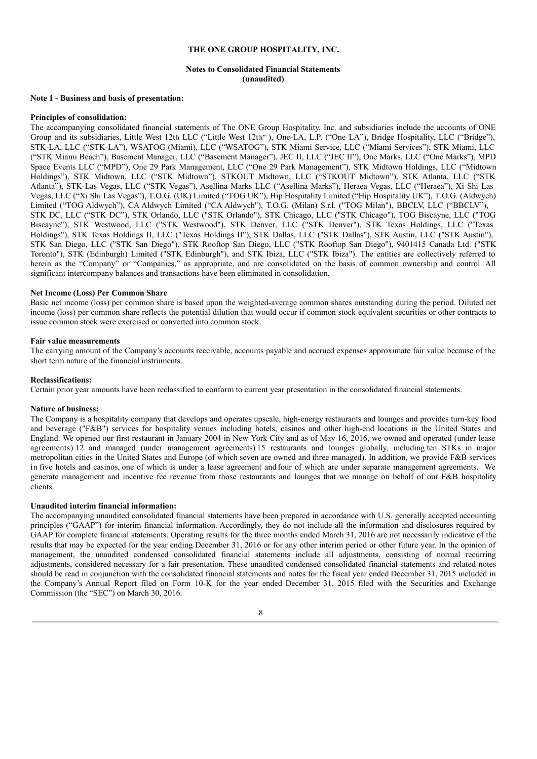## **Notes to Consolidated Financial Statements (unaudited)**

#### **Note 1 - Business and basis of presentation:**

# **Principles of consolidation:**

The accompanying consolidated financial statements of The ONE Group Hospitality, Inc. and subsidiaries include the accounts of ONE Group and its subsidiaries, Little West 12th LLC ("Little West 12th"), One-LA, L.P. ("One LA"), Bridge Hospitality, LLC ("Bridge"), STK-LA, LLC ("STK-LA"), WSATOG (Miami), LLC ("WSATOG"), STK Miami Service, LLC ("Miami Services"), STK Miami, LLC ("STK Miami Beach"), Basement Manager, LLC ("Basement Manager"), JEC II, LLC ("JEC II"), One Marks, LLC ("One Marks"), MPD Space Events LLC ("MPD"), One 29 Park Management, LLC ("One 29 Park Management"), STK Midtown Holdings, LLC ("Midtown Holdings"), STK Midtown, LLC ("STK Midtown"), STKOUT Midtown, LLC ("STKOUT Midtown"), STK Atlanta, LLC ("STK Atlanta"), STK-Las Vegas, LLC ("STK Vegas"), Asellina Marks LLC ("Asellina Marks"), Heraea Vegas, LLC ("Heraea"), Xi Shi Las Vegas, LLC ("Xi Shi Las Vegas"), T.O.G. (UK) Limited ("TOG UK"), Hip Hospitality Limited ("Hip Hospitality UK"), T.O.G. (Aldwych) Limited ("TOG Aldwych"), CA Aldwych Limited ("CA Aldwych"), T.O.G. (Milan) S.r.l. ("TOG Milan"), BBCLV, LLC ("BBCLV"), STK DC, LLC ("STK DC"), STK Orlando, LLC ("STK Orlando"), STK Chicago, LLC ("STK Chicago"), TOG Biscayne, LLC ("TOG Biscayne"), STK Westwood, LLC ("STK Westwood"), STK Denver, LLC ("STK Denver"), STK Texas Holdings, LLC ("Texas Holdings"), STK Texas Holdings II, LLC ("Texas Holdings II"), STK Dallas, LLC ("STK Dallas"), STK Austin, LLC ("STK Austin"), STK San Diego, LLC ("STK San Diego"), STK Rooftop San Diego, LLC ("STK Rooftop San Diego"), 9401415 Canada Ltd. ("STK Toronto"), STK (Edinburgh) Limited ("STK Edinburgh"), and STK Ibiza, LLC ("STK Ibiza"). The entities are collectively referred to herein as the "Company" or "Companies," as appropriate, and are consolidated on the basis of common ownership and control. All significant intercompany balances and transactions have been eliminated in consolidation.

#### **Net Income (Loss) Per Common Share**

Basic net income (loss) per common share is based upon the weighted-average common shares outstanding during the period. Diluted net income (loss) per common share reflects the potential dilution that would occur if common stock equivalent securities or other contracts to issue common stock were exercised or converted into common stock.

## **Fair value measurements**

The carrying amount of the Company's accounts receivable, accounts payable and accrued expenses approximate fair value because of the short term nature of the financial instruments.

#### **Reclassifications:**

Certain prior year amounts have been reclassified to conform to current year presentation in the consolidated financial statements.

#### **Nature of business:**

The Company is a hospitality company that develops and operates upscale, high-energy restaurants and lounges and provides turn-key food and beverage ("F&B") services for hospitality venues including hotels, casinos and other high-end locations in the United States and England. We opened our first restaurant in January 2004 in New York City and as of May 16, 2016, we owned and operated (under lease agreements) 12 and managed (under management agreements) 15 restaurants and lounges globally, including ten STKs in major metropolitan cities in the United States and Europe (of which seven are owned and three managed). In addition, we provide F&B services in five hotels and casinos, one of which is under a lease agreement andfour of which are under separate management agreements. We generate management and incentive fee revenue from those restaurants and lounges that we manage on behalf of our F&B hospitality clients.

#### **Unaudited interim financial information:**

The accompanying unaudited consolidated financial statements have been prepared in accordance with U.S. generally accepted accounting principles ("GAAP") for interim financial information. Accordingly, they do not include all the information and disclosures required by GAAP for complete financial statements. Operating results for the three months ended March 31, 2016 are not necessarily indicative of the results that may be expected for the year ending December 31, 2016 or for any other interim period or other future year. In the opinion of management, the unaudited condensed consolidated financial statements include all adjustments, consisting of normal recurring adjustments, considered necessary for a fair presentation. These unaudited condensed consolidated financial statements and related notes should be read in conjunction with the consolidated financial statements and notes for the fiscal year ended December 31, 2015 included in the Company's Annual Report filed on Form 10-K for the year ended December 31, 2015 filed with the Securities and Exchange Commission (the "SEC") on March 30, 2016.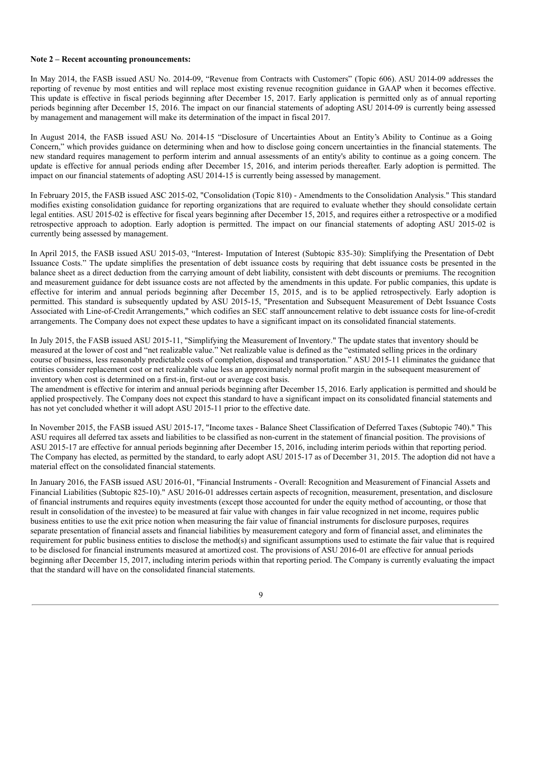#### **Note 2 – Recent accounting pronouncements:**

In May 2014, the FASB issued ASU No. 2014-09, "Revenue from Contracts with Customers" (Topic 606). ASU 2014-09 addresses the reporting of revenue by most entities and will replace most existing revenue recognition guidance in GAAP when it becomes effective. This update is effective in fiscal periods beginning after December 15, 2017. Early application is permitted only as of annual reporting periods beginning after December 15, 2016. The impact on our financial statements of adopting ASU 2014-09 is currently being assessed by management and management will make its determination of the impact in fiscal 2017.

In August 2014, the FASB issued ASU No. 2014-15 "Disclosure of Uncertainties About an Entity's Ability to Continue as a Going Concern," which provides guidance on determining when and how to disclose going concern uncertainties in the financial statements. The new standard requires management to perform interim and annual assessments of an entity's ability to continue as a going concern. The update is effective for annual periods ending after December 15, 2016, and interim periods thereafter. Early adoption is permitted. The impact on our financial statements of adopting ASU 2014-15 is currently being assessed by management.

In February 2015, the FASB issued ASC 2015-02, "Consolidation (Topic 810) - Amendments to the Consolidation Analysis." This standard modifies existing consolidation guidance for reporting organizations that are required to evaluate whether they should consolidate certain legal entities. ASU 2015-02 is effective for fiscal years beginning after December 15, 2015, and requires either a retrospective or a modified retrospective approach to adoption. Early adoption is permitted. The impact on our financial statements of adopting ASU 2015-02 is currently being assessed by management.

In April 2015, the FASB issued ASU 2015-03, "Interest- Imputation of Interest (Subtopic 835-30): Simplifying the Presentation of Debt Issuance Costs." The update simplifies the presentation of debt issuance costs by requiring that debt issuance costs be presented in the balance sheet as a direct deduction from the carrying amount of debt liability, consistent with debt discounts or premiums. The recognition and measurement guidance for debt issuance costs are not affected by the amendments in this update. For public companies, this update is effective for interim and annual periods beginning after December 15, 2015, and is to be applied retrospectively. Early adoption is permitted. This standard is subsequently updated by ASU 2015-15, "Presentation and Subsequent Measurement of Debt Issuance Costs Associated with Line-of-Credit Arrangements," which codifies an SEC staff announcement relative to debt issuance costs for line-of-credit arrangements. The Company does not expect these updates to have a significant impact on its consolidated financial statements.

In July 2015, the FASB issued ASU 2015-11, "Simplifying the Measurement of Inventory." The update states that inventory should be measured at the lower of cost and "net realizable value." Net realizable value is defined as the "estimated selling prices in the ordinary course of business, less reasonably predictable costs of completion, disposal and transportation." ASU 2015-11 eliminates the guidance that entities consider replacement cost or net realizable value less an approximately normal profit margin in the subsequent measurement of inventory when cost is determined on a first-in, first-out or average cost basis.

The amendment is effective for interim and annual periods beginning after December 15, 2016. Early application is permitted and should be applied prospectively. The Company does not expect this standard to have a significant impact on its consolidated financial statements and has not yet concluded whether it will adopt ASU 2015-11 prior to the effective date.

In November 2015, the FASB issued ASU 2015-17, "Income taxes - Balance Sheet Classification of Deferred Taxes (Subtopic 740)." This ASU requires all deferred tax assets and liabilities to be classified as non-current in the statement of financial position. The provisions of ASU 2015-17 are effective for annual periods beginning after December 15, 2016, including interim periods within that reporting period. The Company has elected, as permitted by the standard, to early adopt ASU 2015-17 as of December 31, 2015. The adoption did not have a material effect on the consolidated financial statements.

In January 2016, the FASB issued ASU 2016-01, "Financial Instruments - Overall: Recognition and Measurement of Financial Assets and Financial Liabilities (Subtopic 825-10)." ASU 2016-01 addresses certain aspects of recognition, measurement, presentation, and disclosure of financial instruments and requires equity investments (except those accounted for under the equity method of accounting, or those that result in consolidation of the investee) to be measured at fair value with changes in fair value recognized in net income, requires public business entities to use the exit price notion when measuring the fair value of financial instruments for disclosure purposes, requires separate presentation of financial assets and financial liabilities by measurement category and form of financial asset, and eliminates the requirement for public business entities to disclose the method(s) and significant assumptions used to estimate the fair value that is required to be disclosed for financial instruments measured at amortized cost. The provisions of ASU 2016-01 are effective for annual periods beginning after December 15, 2017, including interim periods within that reporting period. The Company is currently evaluating the impact that the standard will have on the consolidated financial statements.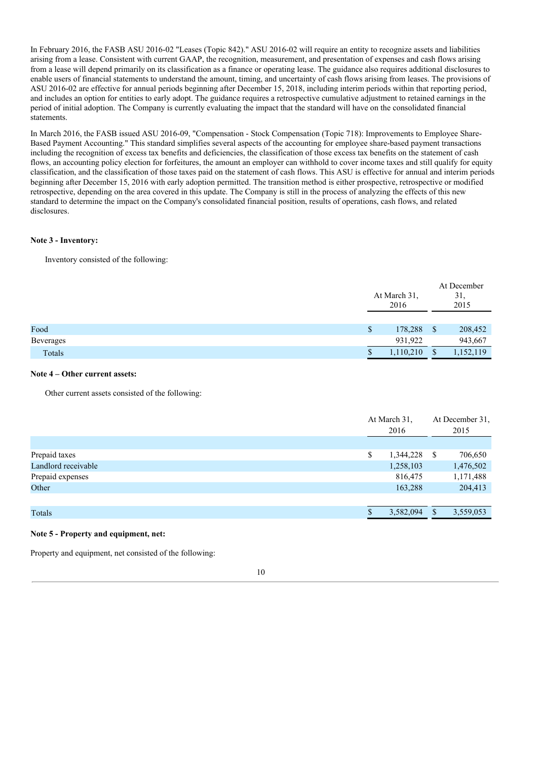In February 2016, the FASB ASU 2016-02 "Leases (Topic 842)." ASU 2016-02 will require an entity to recognize assets and liabilities arising from a lease. Consistent with current GAAP, the recognition, measurement, and presentation of expenses and cash flows arising from a lease will depend primarily on its classification as a finance or operating lease. The guidance also requires additional disclosures to enable users of financial statements to understand the amount, timing, and uncertainty of cash flows arising from leases. The provisions of ASU 2016-02 are effective for annual periods beginning after December 15, 2018, including interim periods within that reporting period, and includes an option for entities to early adopt. The guidance requires a retrospective cumulative adjustment to retained earnings in the period of initial adoption. The Company is currently evaluating the impact that the standard will have on the consolidated financial statements.

In March 2016, the FASB issued ASU 2016-09, "Compensation - Stock Compensation (Topic 718): Improvements to Employee Share-Based Payment Accounting." This standard simplifies several aspects of the accounting for employee share-based payment transactions including the recognition of excess tax benefits and deficiencies, the classification of those excess tax benefits on the statement of cash flows, an accounting policy election for forfeitures, the amount an employer can withhold to cover income taxes and still qualify for equity classification, and the classification of those taxes paid on the statement of cash flows. This ASU is effective for annual and interim periods beginning after December 15, 2016 with early adoption permitted. The transition method is either prospective, retrospective or modified retrospective, depending on the area covered in this update. The Company is still in the process of analyzing the effects of this new standard to determine the impact on the Company's consolidated financial position, results of operations, cash flows, and related disclosures.

## **Note 3 - Inventory:**

Inventory consisted of the following:

|           | At March 31,<br>2016 |           | At December<br>31,<br>2015 |
|-----------|----------------------|-----------|----------------------------|
|           |                      |           |                            |
| Food      | \$                   | 178,288   | \$<br>208,452              |
| Beverages |                      | 931,922   | 943,667                    |
| Totals    |                      | 1,110,210 | \$<br>1,152,119            |

## **Note 4 – Other current assets:**

Other current assets consisted of the following:

|                     | At March 31,<br>2016 |    | At December 31,<br>2015 |
|---------------------|----------------------|----|-------------------------|
|                     |                      |    |                         |
| Prepaid taxes       | \$<br>1,344,228      | -S | 706,650                 |
| Landlord receivable | 1,258,103            |    | 1,476,502               |
| Prepaid expenses    | 816,475              |    | 1,171,488               |
| Other               | 163,288              |    | 204,413                 |
|                     |                      |    |                         |
| Totals              | 3,582,094            | £. | 3,559,053               |
|                     |                      |    |                         |

# **Note 5 - Property and equipment, net:**

Property and equipment, net consisted of the following: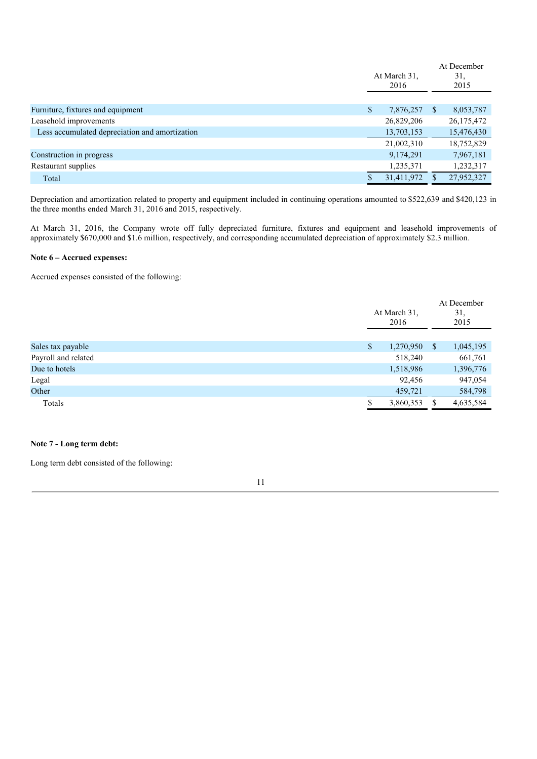|                                                | At March 31,<br>2016 |   | At December<br>31.<br>2015 |
|------------------------------------------------|----------------------|---|----------------------------|
|                                                |                      |   |                            |
| Furniture, fixtures and equipment              | \$<br>7,876,257      | S | 8,053,787                  |
| Leasehold improvements                         | 26,829,206           |   | 26, 175, 472               |
| Less accumulated depreciation and amortization | 13,703,153           |   | 15,476,430                 |
|                                                | 21,002,310           |   | 18,752,829                 |
| Construction in progress                       | 9,174,291            |   | 7,967,181                  |
| Restaurant supplies                            | 1,235,371            |   | 1,232,317                  |
| Total                                          | 31,411,972           |   | 27,952,327                 |

Depreciation and amortization related to property and equipment included in continuing operations amounted to \$522,639 and \$420,123 in the three months ended March 31, 2016 and 2015, respectively.

At March 31, 2016, the Company wrote off fully depreciated furniture, fixtures and equipment and leasehold improvements of approximately \$670,000 and \$1.6 million, respectively, and corresponding accumulated depreciation of approximately \$2.3 million.

#### **Note 6 – Accrued expenses:**

Accrued expenses consisted of the following:

|                     | At March 31,<br>2016 |         | At December<br>31,<br>2015 |           |
|---------------------|----------------------|---------|----------------------------|-----------|
|                     |                      |         |                            |           |
| Sales tax payable   | 1,270,950<br>\$      |         | <sup>S</sup>               | 1,045,195 |
| Payroll and related |                      | 518,240 |                            | 661,761   |
| Due to hotels       | 1,518,986            |         |                            | 1,396,776 |
| Legal               |                      | 92,456  |                            | 947,054   |
| Other               |                      | 459,721 |                            | 584,798   |
| Totals              | 3,860,353            |         | S                          | 4,635,584 |

# **Note 7 - Long term debt:**

Long term debt consisted of the following: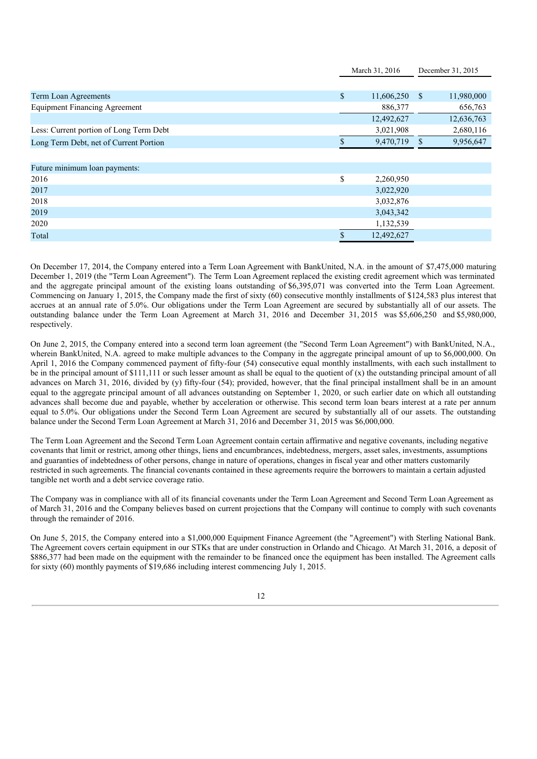|               | March 31, 2016 |              | December 31, 2015 |
|---------------|----------------|--------------|-------------------|
|               |                |              |                   |
| $\mathsf{\$}$ | 11,606,250     | <sup>S</sup> | 11,980,000        |
|               | 886,377        |              | 656,763           |
|               | 12,492,627     |              | 12,636,763        |
|               | 3,021,908      |              | 2,680,116         |
|               |                |              | 9,956,647         |
|               |                |              |                   |
|               |                |              |                   |
| \$            | 2,260,950      |              |                   |
|               | 3,022,920      |              |                   |
|               | 3,032,876      |              |                   |
|               | 3,043,342      |              |                   |
|               | 1,132,539      |              |                   |
| \$.           | 12,492,627     |              |                   |
|               |                |              | 9,470,719 \$      |

On December 17, 2014, the Company entered into a Term Loan Agreement with BankUnited, N.A. in the amount of \$7,475,000 maturing December 1, 2019 (the "Term Loan Agreement"). The Term Loan Agreement replaced the existing credit agreement which was terminated and the aggregate principal amount of the existing loans outstanding of \$6,395,071 was converted into the Term Loan Agreement. Commencing on January 1, 2015, the Company made the first of sixty (60) consecutive monthly installments of \$124,583 plus interest that accrues at an annual rate of 5.0%. Our obligations under the Term Loan Agreement are secured by substantially all of our assets. The outstanding balance under the Term Loan Agreement at March 31, 2016 and December 31, 2015 was \$5,606,250 and \$5,980,000, respectively.

On June 2, 2015, the Company entered into a second term loan agreement (the "Second Term Loan Agreement") with BankUnited, N.A., wherein BankUnited, N.A. agreed to make multiple advances to the Company in the aggregate principal amount of up to \$6,000,000. On April 1, 2016 the Company commenced payment of fifty-four (54) consecutive equal monthly installments, with each such installment to be in the principal amount of \$111,111 or such lesser amount as shall be equal to the quotient of (x) the outstanding principal amount of all advances on March 31, 2016, divided by (y) fifty-four (54); provided, however, that the final principal installment shall be in an amount equal to the aggregate principal amount of all advances outstanding on September 1, 2020, or such earlier date on which all outstanding advances shall become due and payable, whether by acceleration or otherwise. This second term loan bears interest at a rate per annum equal to 5.0%. Our obligations under the Second Term Loan Agreement are secured by substantially all of our assets. The outstanding balance under the Second Term Loan Agreement at March 31, 2016 and December 31, 2015 was \$6,000,000.

The Term Loan Agreement and the Second Term Loan Agreement contain certain affirmative and negative covenants, including negative covenants that limit or restrict, among other things, liens and encumbrances, indebtedness, mergers, asset sales, investments, assumptions and guaranties of indebtedness of other persons, change in nature of operations, changes in fiscal year and other matters customarily restricted in such agreements. The financial covenants contained in these agreements require the borrowers to maintain a certain adjusted tangible net worth and a debt service coverage ratio.

The Company was in compliance with all of its financial covenants under the Term Loan Agreement and Second Term Loan Agreement as of March 31, 2016 and the Company believes based on current projections that the Company will continue to comply with such covenants through the remainder of 2016.

On June 5, 2015, the Company entered into a \$1,000,000 Equipment Finance Agreement (the "Agreement") with Sterling National Bank. The Agreement covers certain equipment in our STKs that are under construction in Orlando and Chicago. At March 31, 2016, a deposit of \$886,377 had been made on the equipment with the remainder to be financed once the equipment has been installed. The Agreement calls for sixty (60) monthly payments of \$19,686 including interest commencing July 1, 2015.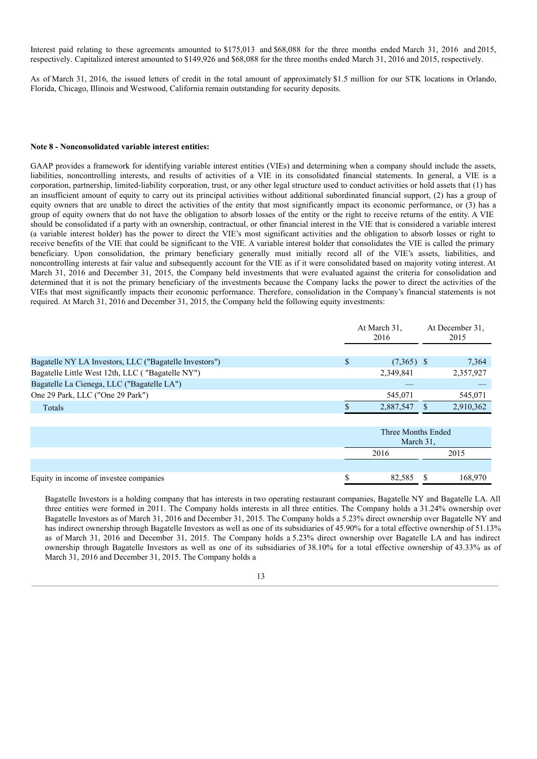Interest paid relating to these agreements amounted to \$175,013 and \$68,088 for the three months ended March 31, 2016 and 2015, respectively. Capitalized interest amounted to \$149,926 and \$68,088 for the three months ended March 31, 2016 and 2015, respectively.

As of March 31, 2016, the issued letters of credit in the total amount of approximately \$1.5 million for our STK locations in Orlando, Florida, Chicago, Illinois and Westwood, California remain outstanding for security deposits.

#### **Note 8 - Nonconsolidated variable interest entities:**

GAAP provides a framework for identifying variable interest entities (VIEs) and determining when a company should include the assets, liabilities, noncontrolling interests, and results of activities of a VIE in its consolidated financial statements. In general, a VIE is a corporation, partnership, limited-liability corporation, trust, or any other legal structure used to conduct activities or hold assets that (1) has an insufficient amount of equity to carry out its principal activities without additional subordinated financial support, (2) has a group of equity owners that are unable to direct the activities of the entity that most significantly impact its economic performance, or (3) has a group of equity owners that do not have the obligation to absorb losses of the entity or the right to receive returns of the entity. A VIE should be consolidated if a party with an ownership, contractual, or other financial interest in the VIE that is considered a variable interest (a variable interest holder) has the power to direct the VIE's most significant activities and the obligation to absorb losses or right to receive benefits of the VIE that could be significant to the VIE. A variable interest holder that consolidates the VIE is called the primary beneficiary. Upon consolidation, the primary beneficiary generally must initially record all of the VIE's assets, liabilities, and noncontrolling interests at fair value and subsequently account for the VIE as if it were consolidated based on majority voting interest. At March 31, 2016 and December 31, 2015, the Company held investments that were evaluated against the criteria for consolidation and determined that it is not the primary beneficiary of the investments because the Company lacks the power to direct the activities of the VIEs that most significantly impacts their economic performance. Therefore, consolidation in the Company's financial statements is not required. At March 31, 2016 and December 31, 2015, the Company held the following equity investments:

|                                                        | At March 31,<br>2016 | At December 31,<br>2015 |
|--------------------------------------------------------|----------------------|-------------------------|
|                                                        |                      |                         |
| Bagatelle NY LA Investors, LLC ("Bagatelle Investors") | $(7,365)$ \$         | 7,364                   |
| Bagatelle Little West 12th, LLC ("Bagatelle NY")       | 2.349.841            | 2,357,927               |
| Bagatelle La Cienega, LLC ("Bagatelle LA")             |                      |                         |
| One 29 Park, LLC ("One 29 Park")                       | 545,071              | 545.071                 |
| Totals                                                 | 2,887,547            | 2,910,362               |

|                                        | Three Months Ended<br>March 31, |      |         |  |  |
|----------------------------------------|---------------------------------|------|---------|--|--|
|                                        |                                 | 2016 | 2015    |  |  |
|                                        |                                 |      |         |  |  |
| Equity in income of investee companies | 82.585                          |      | 168,970 |  |  |

Bagatelle Investors is a holding company that has interests in two operating restaurant companies, Bagatelle NY and Bagatelle LA. All three entities were formed in 2011. The Company holds interests in all three entities. The Company holds a 31.24% ownership over Bagatelle Investors as of March 31, 2016 and December 31, 2015. The Company holds a 5.23% direct ownership over Bagatelle NY and has indirect ownership through Bagatelle Investors as well as one of its subsidiaries of 45.90% for a total effective ownership of 51.13% as of March 31, 2016 and December 31, 2015. The Company holds a 5.23% direct ownership over Bagatelle LA and has indirect ownership through Bagatelle Investors as well as one of its subsidiaries of 38.10% for a total effective ownership of 43.33% as of March 31, 2016 and December 31, 2015. The Company holds a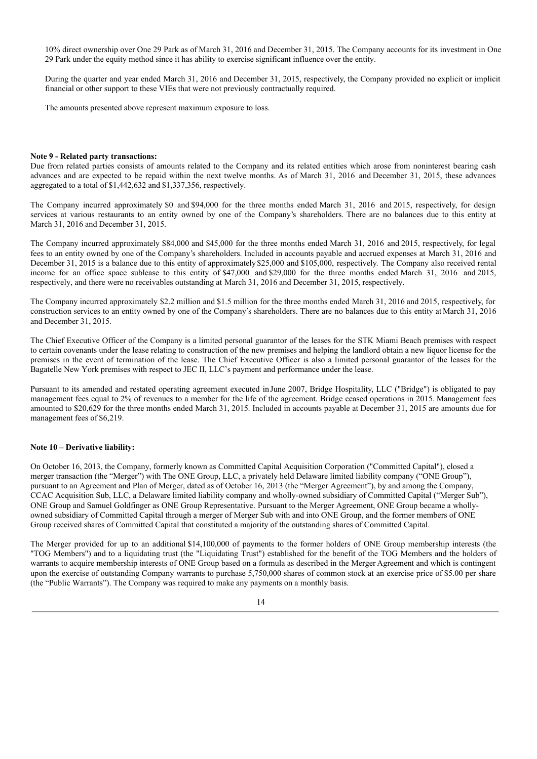10% direct ownership over One 29 Park as of March 31, 2016 and December 31, 2015. The Company accounts for its investment in One 29 Park under the equity method since it has ability to exercise significant influence over the entity.

During the quarter and year ended March 31, 2016 and December 31, 2015, respectively, the Company provided no explicit or implicit financial or other support to these VIEs that were not previously contractually required.

The amounts presented above represent maximum exposure to loss.

#### **Note 9 - Related party transactions:**

Due from related parties consists of amounts related to the Company and its related entities which arose from noninterest bearing cash advances and are expected to be repaid within the next twelve months. As of March 31, 2016 and December 31, 2015, these advances aggregated to a total of \$1,442,632 and \$1,337,356, respectively.

The Company incurred approximately \$0 and \$94,000 for the three months ended March 31, 2016 and 2015, respectively, for design services at various restaurants to an entity owned by one of the Company's shareholders. There are no balances due to this entity at March 31, 2016 and December 31, 2015.

The Company incurred approximately \$84,000 and \$45,000 for the three months ended March 31, 2016 and 2015, respectively, for legal fees to an entity owned by one of the Company's shareholders. Included in accounts payable and accrued expenses at March 31, 2016 and December 31, 2015 is a balance due to this entity of approximately \$25,000 and \$105,000, respectively. The Company also received rental income for an office space sublease to this entity of \$47,000 and \$29,000 for the three months ended March 31, 2016 and 2015, respectively, and there were no receivables outstanding at March 31, 2016 and December 31, 2015, respectively.

The Company incurred approximately \$2.2 million and \$1.5 million for the three months ended March 31, 2016 and 2015, respectively, for construction services to an entity owned by one of the Company's shareholders. There are no balances due to this entity at March 31, 2016 and December 31, 2015.

The Chief Executive Officer of the Company is a limited personal guarantor of the leases for the STK Miami Beach premises with respect to certain covenants under the lease relating to construction of the new premises and helping the landlord obtain a new liquor license for the premises in the event of termination of the lease. The Chief Executive Officer is also a limited personal guarantor of the leases for the Bagatelle New York premises with respect to JEC II, LLC's payment and performance under the lease.

Pursuant to its amended and restated operating agreement executed inJune 2007, Bridge Hospitality, LLC ("Bridge") is obligated to pay management fees equal to 2% of revenues to a member for the life of the agreement. Bridge ceased operations in 2015. Management fees amounted to \$20,629 for the three months ended March 31, 2015. Included in accounts payable at December 31, 2015 are amounts due for management fees of \$6,219.

#### **Note 10 – Derivative liability:**

On October 16, 2013, the Company, formerly known as Committed Capital Acquisition Corporation ("Committed Capital"), closed a merger transaction (the "Merger") with The ONE Group, LLC, a privately held Delaware limited liability company ("ONE Group"), pursuant to an Agreement and Plan of Merger, dated as of October 16, 2013 (the "Merger Agreement"), by and among the Company, CCAC Acquisition Sub, LLC, a Delaware limited liability company and wholly-owned subsidiary of Committed Capital ("Merger Sub"), ONE Group and Samuel Goldfinger as ONE Group Representative. Pursuant to the Merger Agreement, ONE Group became a whollyowned subsidiary of Committed Capital through a merger of Merger Sub with and into ONE Group, and the former members of ONE Group received shares of Committed Capital that constituted a majority of the outstanding shares of Committed Capital.

The Merger provided for up to an additional \$14,100,000 of payments to the former holders of ONE Group membership interests (the "TOG Members") and to a liquidating trust (the "Liquidating Trust") established for the benefit of the TOG Members and the holders of warrants to acquire membership interests of ONE Group based on a formula as described in the Merger Agreement and which is contingent upon the exercise of outstanding Company warrants to purchase 5,750,000 shares of common stock at an exercise price of \$5.00 per share (the "Public Warrants"). The Company was required to make any payments on a monthly basis.

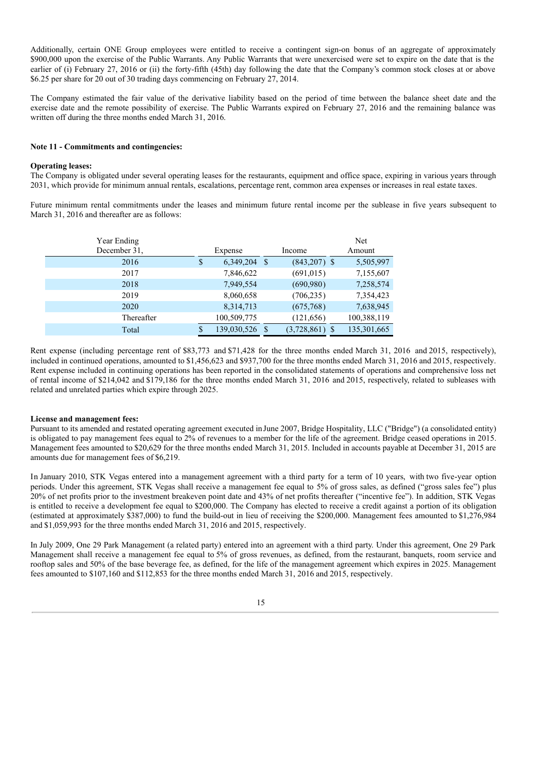Additionally, certain ONE Group employees were entitled to receive a contingent sign-on bonus of an aggregate of approximately \$900,000 upon the exercise of the Public Warrants. Any Public Warrants that were unexercised were set to expire on the date that is the earlier of (i) February 27, 2016 or (ii) the forty-fifth (45th) day following the date that the Company's common stock closes at or above \$6.25 per share for 20 out of 30 trading days commencing on February 27, 2014.

The Company estimated the fair value of the derivative liability based on the period of time between the balance sheet date and the exercise date and the remote possibility of exercise. The Public Warrants expired on February 27, 2016 and the remaining balance was written off during the three months ended March 31, 2016.

#### **Note 11 - Commitments and contingencies:**

## **Operating leases:**

The Company is obligated under several operating leases for the restaurants, equipment and office space, expiring in various years through 2031, which provide for minimum annual rentals, escalations, percentage rent, common area expenses or increases in real estate taxes.

Future minimum rental commitments under the leases and minimum future rental income per the sublease in five years subsequent to March 31, 2016 and thereafter are as follows:

| Year Ending<br>December 31. |   | Expense     |    | Income           | <b>Net</b><br>Amount |
|-----------------------------|---|-------------|----|------------------|----------------------|
| 2016                        | S | 6,349,204   | -S | $(843,207)$ \$   | 5,505,997            |
| 2017                        |   | 7,846,622   |    | (691, 015)       | 7,155,607            |
| 2018                        |   | 7,949,554   |    | (690, 980)       | 7,258,574            |
| 2019                        |   | 8,060,658   |    | (706, 235)       | 7,354,423            |
| 2020                        |   | 8,314,713   |    | (675,768)        | 7,638,945            |
| Thereafter                  |   | 100,509,775 |    | (121, 656)       | 100,388,119          |
| Total                       | S | 139,030,526 | S  | $(3,728,861)$ \$ | 135, 301, 665        |

Rent expense (including percentage rent of \$83,773 and \$71,428 for the three months ended March 31, 2016 and 2015, respectively), included in continued operations, amounted to \$1,456,623 and \$937,700 for the three months ended March 31, 2016 and 2015, respectively. Rent expense included in continuing operations has been reported in the consolidated statements of operations and comprehensive loss net of rental income of \$214,042 and \$179,186 for the three months ended March 31, 2016 and 2015, respectively, related to subleases with related and unrelated parties which expire through 2025.

# **License and management fees:**

Pursuant to its amended and restated operating agreement executed inJune 2007, Bridge Hospitality, LLC ("Bridge") (a consolidated entity) is obligated to pay management fees equal to 2% of revenues to a member for the life of the agreement. Bridge ceased operations in 2015. Management fees amounted to \$20,629 for the three months ended March 31, 2015. Included in accounts payable at December 31, 2015 are amounts due for management fees of \$6,219.

In January 2010, STK Vegas entered into a management agreement with a third party for a term of 10 years, with two five-year option periods. Under this agreement, STK Vegas shall receive a management fee equal to 5% of gross sales, as defined ("gross sales fee") plus 20% of net profits prior to the investment breakeven point date and 43% of net profits thereafter ("incentive fee"). In addition, STK Vegas is entitled to receive a development fee equal to \$200,000. The Company has elected to receive a credit against a portion of its obligation (estimated at approximately \$387,000) to fund the build-out in lieu of receiving the \$200,000. Management fees amounted to \$1,276,984 and \$1,059,993 for the three months ended March 31, 2016 and 2015, respectively.

In July 2009, One 29 Park Management (a related party) entered into an agreement with a third party. Under this agreement, One 29 Park Management shall receive a management fee equal to 5% of gross revenues, as defined, from the restaurant, banquets, room service and rooftop sales and 50% of the base beverage fee, as defined, for the life of the management agreement which expires in 2025. Management fees amounted to \$107,160 and \$112,853 for the three months ended March 31, 2016 and 2015, respectively.

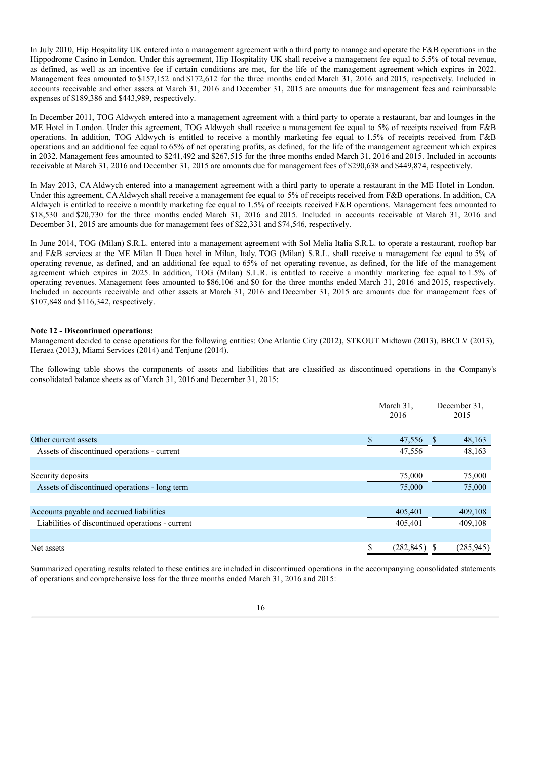In July 2010, Hip Hospitality UK entered into a management agreement with a third party to manage and operate the F&B operations in the Hippodrome Casino in London. Under this agreement, Hip Hospitality UK shall receive a management fee equal to 5.5% of total revenue, as defined, as well as an incentive fee if certain conditions are met, for the life of the management agreement which expires in 2022. Management fees amounted to \$157,152 and \$172,612 for the three months ended March 31, 2016 and 2015, respectively. Included in accounts receivable and other assets at March 31, 2016 and December 31, 2015 are amounts due for management fees and reimbursable expenses of \$189,386 and \$443,989, respectively.

In December 2011, TOG Aldwych entered into a management agreement with a third party to operate a restaurant, bar and lounges in the ME Hotel in London. Under this agreement, TOG Aldwych shall receive a management fee equal to 5% of receipts received from F&B operations. In addition, TOG Aldwych is entitled to receive a monthly marketing fee equal to 1.5% of receipts received from F&B operations and an additional fee equal to 65% of net operating profits, as defined, for the life of the management agreement which expires in 2032. Management fees amounted to \$241,492 and \$267,515 for the three months ended March 31, 2016 and 2015. Included in accounts receivable at March 31, 2016 and December 31, 2015 are amounts due for management fees of \$290,638 and \$449,874, respectively.

In May 2013, CA Aldwych entered into a management agreement with a third party to operate a restaurant in the ME Hotel in London. Under this agreement, CAAldwych shall receive a management fee equal to 5% of receipts received from F&B operations. In addition, CA Aldwych is entitled to receive a monthly marketing fee equal to 1.5% of receipts received F&B operations. Management fees amounted to \$18,530 and \$20,730 for the three months ended March 31, 2016 and 2015. Included in accounts receivable at March 31, 2016 and December 31, 2015 are amounts due for management fees of \$22,331 and \$74,546, respectively.

In June 2014, TOG (Milan) S.R.L. entered into a management agreement with Sol Melia Italia S.R.L. to operate a restaurant, rooftop bar and F&B services at the ME Milan Il Duca hotel in Milan, Italy. TOG (Milan) S.R.L. shall receive a management fee equal to 5% of operating revenue, as defined, and an additional fee equal to 65% of net operating revenue, as defined, for the life of the management agreement which expires in 2025. In addition, TOG (Milan) S.L.R. is entitled to receive a monthly marketing fee equal to 1.5% of operating revenues. Management fees amounted to \$86,106 and \$0 for the three months ended March 31, 2016 and 2015, respectively. Included in accounts receivable and other assets at March 31, 2016 and December 31, 2015 are amounts due for management fees of \$107,848 and \$116,342, respectively.

# **Note 12 - Discontinued operations:**

Management decided to cease operations for the following entities: One Atlantic City (2012), STKOUT Midtown (2013), BBCLV (2013), Heraea (2013), Miami Services (2014) and Tenjune (2014).

The following table shows the components of assets and liabilities that are classified as discontinued operations in the Company's consolidated balance sheets as of March 31, 2016 and December 31, 2015:

|                                                  |    | March 31,<br>2016 |    | December 31.<br>2015 |
|--------------------------------------------------|----|-------------------|----|----------------------|
|                                                  |    |                   |    |                      |
| Other current assets                             | S  | 47,556            | -S | 48,163               |
| Assets of discontinued operations - current      |    | 47,556            |    | 48,163               |
|                                                  |    |                   |    |                      |
| Security deposits                                |    | 75,000            |    | 75,000               |
| Assets of discontinued operations - long term    |    | 75,000            |    | 75,000               |
|                                                  |    |                   |    |                      |
| Accounts payable and accrued liabilities         |    | 405,401           |    | 409,108              |
| Liabilities of discontinued operations - current |    | 405,401           |    | 409,108              |
|                                                  |    |                   |    |                      |
| Net assets                                       | \$ | (282, 845)        | -S | (285, 945)           |

Summarized operating results related to these entities are included in discontinued operations in the accompanying consolidated statements of operations and comprehensive loss for the three months ended March 31, 2016 and 2015: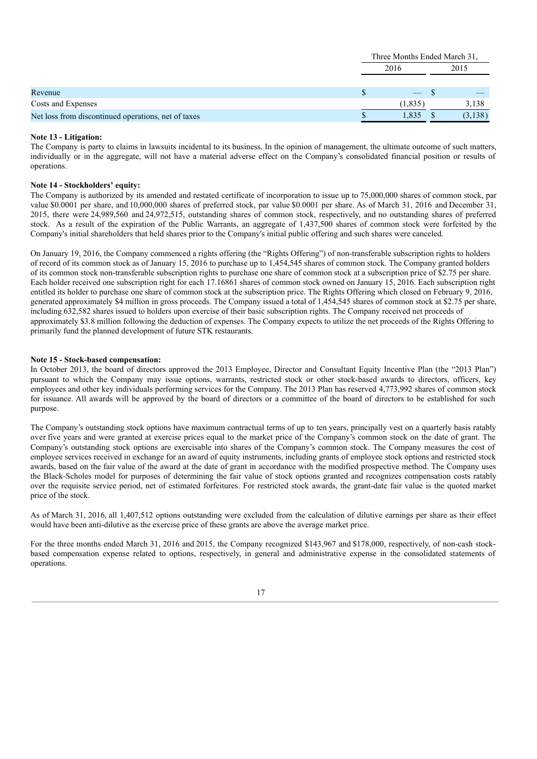|                                                     | Three Months Ended March 31, |         |      |         |  |
|-----------------------------------------------------|------------------------------|---------|------|---------|--|
|                                                     | 2016                         |         | 2015 |         |  |
| Revenue                                             |                              |         |      |         |  |
| Costs and Expenses                                  |                              | (1,835) |      | 3,138   |  |
| Net loss from discontinued operations, net of taxes |                              | 1.835   |      | (3,138) |  |

# **Note 13 - Litigation:**

The Company is party to claims in lawsuits incidental to its business. In the opinion of management, the ultimate outcome of such matters, individually or in the aggregate, will not have a material adverse effect on the Company's consolidated financial position or results of operations.

# **Note 14 - Stockholders' equity:**

The Company is authorized by its amended and restated certificate of incorporation to issue up to 75,000,000 shares of common stock, par value \$0.0001 per share, and10,000,000 shares of preferred stock, par value \$0.0001 per share. As of March 31, 2016 and December 31, 2015, there were 24,989,560 and 24,972,515, outstanding shares of common stock, respectively, and no outstanding shares of preferred stock. As a result of the expiration of the Public Warrants, an aggregate of 1,437,500 shares of common stock were forfeited by the Company's initial shareholders that held shares prior to the Company's initial public offering and such shares were canceled.

On January 19, 2016, the Company commenced a rights offering (the "Rights Offering") of non-transferable subscription rights to holders of record of its common stock as of January 15, 2016 to purchase up to 1,454,545 shares of common stock. The Company granted holders of its common stock non-transferable subscription rights to purchase one share of common stock at a subscription price of \$2.75 per share. Each holder received one subscription right for each 17.16861 shares of common stock owned on January 15, 2016. Each subscription right entitled its holder to purchase one share of common stock at the subscription price. The Rights Offering which closed on February 9, 2016, generated approximately \$4 million in gross proceeds. The Company issued a total of 1,454,545 shares of common stock at \$2.75 per share, including 632,582 shares issued to holders upon exercise of their basic subscription rights. The Company received net proceeds of approximately \$3.8 million following the deduction of expenses. The Company expects to utilize the net proceeds of the Rights Offering to primarily fund the planned development of future STK restaurants.

# **Note 15 - Stock-based compensation:**

In October 2013, the board of directors approved the 2013 Employee, Director and Consultant Equity Incentive Plan (the "2013 Plan") pursuant to which the Company may issue options, warrants, restricted stock or other stock-based awards to directors, officers, key employees and other key individuals performing services for the Company. The 2013 Plan has reserved 4,773,992 shares of common stock for issuance. All awards will be approved by the board of directors or a committee of the board of directors to be established for such purpose.

The Company's outstanding stock options have maximum contractual terms of up to ten years, principally vest on a quarterly basis ratably over five years and were granted at exercise prices equal to the market price of the Company's common stock on the date of grant. The Company's outstanding stock options are exercisable into shares of the Company's common stock. The Company measures the cost of employee services received in exchange for an award of equity instruments, including grants of employee stock options and restricted stock awards, based on the fair value of the award at the date of grant in accordance with the modified prospective method. The Company uses the Black-Scholes model for purposes of determining the fair value of stock options granted and recognizes compensation costs ratably over the requisite service period, net of estimated forfeitures. For restricted stock awards, the grant-date fair value is the quoted market price of the stock.

As of March 31, 2016, all 1,407,512 options outstanding were excluded from the calculation of dilutive earnings per share as their effect would have been anti-dilutive as the exercise price of these grants are above the average market price.

For the three months ended March 31, 2016 and 2015, the Company recognized \$143,967 and \$178,000, respectively, of non-cash stockbased compensation expense related to options, respectively, in general and administrative expense in the consolidated statements of operations.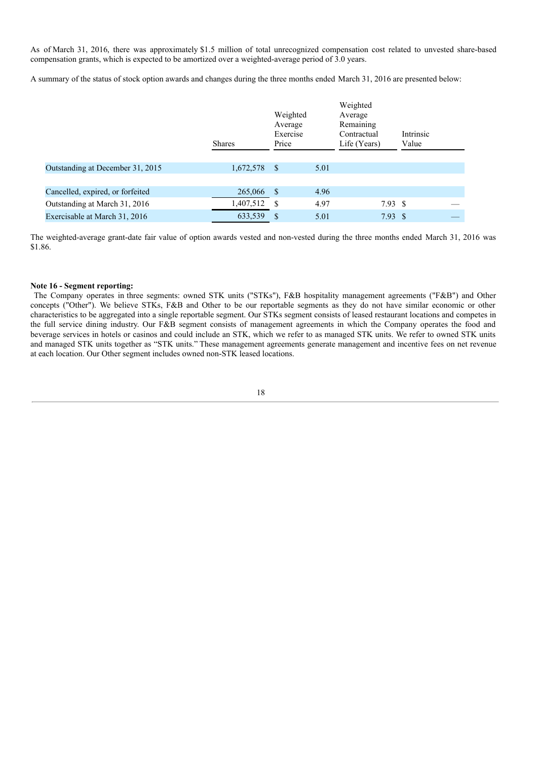As of March 31, 2016, there was approximately \$1.5 million of total unrecognized compensation cost related to unvested share-based compensation grants, which is expected to be amortized over a weighted-average period of 3.0 years.

A summary of the status of stock option awards and changes during the three months ended March 31, 2016 are presented below:

|                                  | <b>Shares</b> | Weighted<br>Average<br>Exercise<br>Price |      | Weighted<br>Average<br>Remaining<br>Contractual<br>Life (Years) | Intrinsic<br>Value |  |
|----------------------------------|---------------|------------------------------------------|------|-----------------------------------------------------------------|--------------------|--|
|                                  |               |                                          |      |                                                                 |                    |  |
| Outstanding at December 31, 2015 | 1,672,578     | <sup>S</sup>                             | 5.01 |                                                                 |                    |  |
|                                  |               |                                          |      |                                                                 |                    |  |
| Cancelled, expired, or forfeited | 265,066       | <sup>S</sup>                             | 4.96 |                                                                 |                    |  |
| Outstanding at March 31, 2016    | 1,407,512     | -S                                       | 4.97 | 7.93 S                                                          |                    |  |
| Exercisable at March 31, 2016    | 633,539       | \$.                                      | 5.01 | $7.93 \text{ } $s$                                              |                    |  |

The weighted-average grant-date fair value of option awards vested and non-vested during the three months ended March 31, 2016 was \$1.86.

## **Note 16 - Segment reporting:**

The Company operates in three segments: owned STK units ("STKs"), F&B hospitality management agreements ("F&B") and Other concepts ("Other"). We believe STKs, F&B and Other to be our reportable segments as they do not have similar economic or other characteristics to be aggregated into a single reportable segment. Our STKs segment consists of leased restaurant locations and competes in the full service dining industry. Our F&B segment consists of management agreements in which the Company operates the food and beverage services in hotels or casinos and could include an STK, which we refer to as managed STK units. We refer to owned STK units and managed STK units together as "STK units." These management agreements generate management and incentive fees on net revenue at each location. Our Other segment includes owned non-STK leased locations.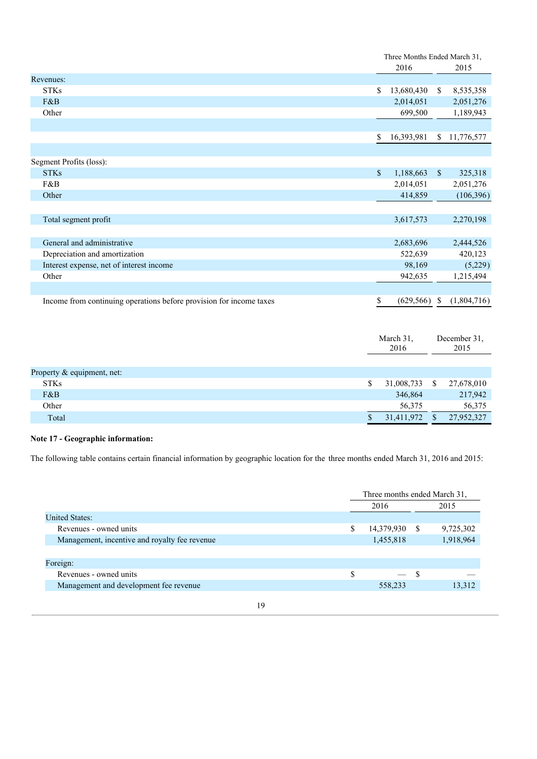|                                                                     |               | Three Months Ended March 31, |               |             |
|---------------------------------------------------------------------|---------------|------------------------------|---------------|-------------|
|                                                                     |               | 2016                         |               | 2015        |
| Revenues:                                                           |               |                              |               |             |
| <b>STKs</b>                                                         | \$            | 13,680,430                   | S.            | 8,535,358   |
| F&B                                                                 |               | 2,014,051                    |               | 2,051,276   |
| Other                                                               |               | 699,500                      |               | 1,189,943   |
|                                                                     |               |                              |               |             |
|                                                                     | S             | 16,393,981                   | S.            | 11,776,577  |
|                                                                     |               |                              |               |             |
| Segment Profits (loss):                                             |               |                              |               |             |
| <b>STKs</b>                                                         | $\mathbf{\$}$ | 1,188,663                    | $\mathcal{S}$ | 325,318     |
| F&B                                                                 |               | 2,014,051                    |               | 2,051,276   |
| Other                                                               |               | 414,859                      |               | (106, 396)  |
|                                                                     |               |                              |               |             |
| Total segment profit                                                |               | 3,617,573                    |               | 2,270,198   |
|                                                                     |               |                              |               |             |
| General and administrative                                          |               | 2,683,696                    |               | 2,444,526   |
| Depreciation and amortization                                       |               | 522,639                      |               | 420,123     |
| Interest expense, net of interest income                            |               | 98,169                       |               | (5,229)     |
| Other                                                               |               | 942,635                      |               | 1,215,494   |
|                                                                     |               |                              |               |             |
| Income from continuing operations before provision for income taxes | \$            | (629, 566)                   | \$            | (1,804,716) |

|                            |   | March 31,<br>2016 |    | December 31.<br>2015 |
|----------------------------|---|-------------------|----|----------------------|
|                            |   |                   |    |                      |
| Property & equipment, net: |   |                   |    |                      |
| <b>STKs</b>                | S | 31,008,733        | -S | 27,678,010           |
| F&B                        |   | 346,864           |    | 217,942              |
| Other                      |   | 56,375            |    | 56,375               |
| Total                      |   | 31,411,972        |    | 27,952,327           |

# **Note 17 - Geographic information:**

The following table contains certain financial information by geographic location for the three months ended March 31, 2016 and 2015:

|                                               |    | Three months ended March 31, |            |    |           |  |
|-----------------------------------------------|----|------------------------------|------------|----|-----------|--|
|                                               |    | 2016                         |            |    | 2015      |  |
| <b>United States:</b>                         |    |                              |            |    |           |  |
| Revenues - owned units                        |    | \$                           | 14,379,930 | -S | 9,725,302 |  |
| Management, incentive and royalty fee revenue |    |                              | 1,455,818  |    | 1,918,964 |  |
|                                               |    |                              |            |    |           |  |
| Foreign:                                      |    |                              |            |    |           |  |
| Revenues - owned units                        |    | S                            |            | -S |           |  |
| Management and development fee revenue        |    |                              | 558,233    |    | 13,312    |  |
|                                               |    |                              |            |    |           |  |
|                                               | 19 |                              |            |    |           |  |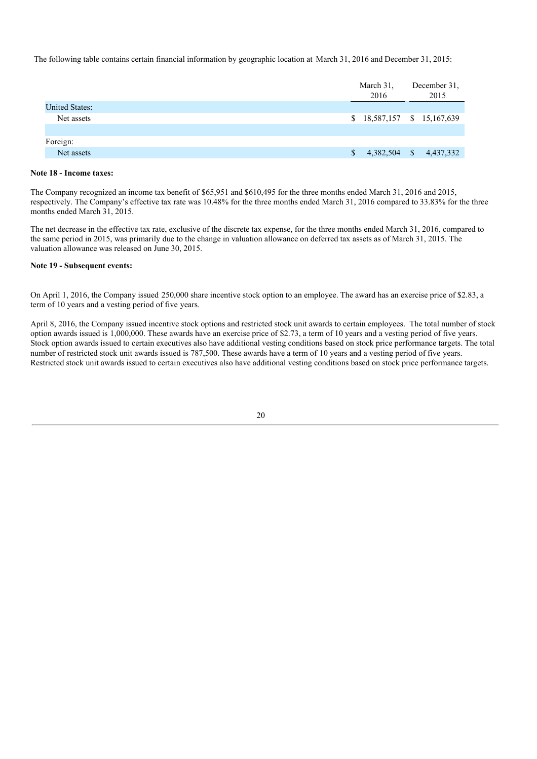The following table contains certain financial information by geographic location at March 31, 2016 and December 31, 2015:

|                       | March 31,<br>2016 | December 31,<br>2015        |  |
|-----------------------|-------------------|-----------------------------|--|
| <b>United States:</b> |                   |                             |  |
| Net assets            |                   | \$ 18,587,157 \$ 15,167,639 |  |
|                       |                   |                             |  |
| Foreign:              |                   |                             |  |
| Net assets            | 4,382,504<br>S    | $\mathbf{s}$<br>4,437,332   |  |

# **Note 18 - Income taxes:**

The Company recognized an income tax benefit of \$65,951 and \$610,495 for the three months ended March 31, 2016 and 2015, respectively. The Company's effective tax rate was 10.48% for the three months ended March 31, 2016 compared to 33.83% for the three months ended March 31, 2015.

The net decrease in the effective tax rate, exclusive of the discrete tax expense, for the three months ended March 31, 2016, compared to the same period in 2015, was primarily due to the change in valuation allowance on deferred tax assets as of March 31, 2015. The valuation allowance was released on June 30, 2015.

## **Note 19 - Subsequent events:**

On April 1, 2016, the Company issued 250,000 share incentive stock option to an employee. The award has an exercise price of \$2.83, a term of 10 years and a vesting period of five years.

April 8, 2016, the Company issued incentive stock options and restricted stock unit awards to certain employees. The total number of stock option awards issued is 1,000,000. These awards have an exercise price of \$2.73, a term of 10 years and a vesting period of five years. Stock option awards issued to certain executives also have additional vesting conditions based on stock price performance targets. The total number of restricted stock unit awards issued is 787,500. These awards have a term of 10 years and a vesting period of five years. Restricted stock unit awards issued to certain executives also have additional vesting conditions based on stock price performance targets.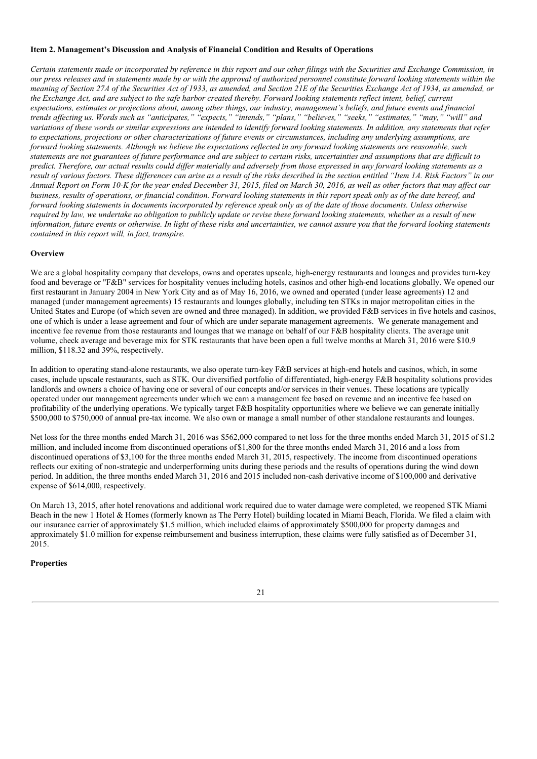## **Item 2. Management's Discussion and Analysis of Financial Condition and Results of Operations**

Certain statements made or incorporated by reference in this report and our other filings with the Securities and Exchange Commission, in our press releases and in statements made by or with the approval of authorized personnel constitute forward looking statements within the meaning of Section 27A of the Securities Act of 1933, as amended, and Section 21E of the Securities Exchange Act of 1934, as amended, or the Exchange Act, and are subject to the safe harbor created thereby. Forward looking statements reflect intent, belief, current expectations, estimates or projections about, among other things, our industry, management's beliefs, and future events and financial trends affecting us. Words such as "anticipates," "expects," "intends," "plans," "believes," "seeks," "estimates," "may," "will" and variations of these words or similar expressions are intended to identify forward looking statements. In addition, any statements that refer to expectations, projections or other characterizations of future events or circumstances, including any underlying assumptions, are forward looking statements. Although we believe the expectations reflected in any forward looking statements are reasonable, such statements are not guarantees of future performance and are subject to certain risks, uncertainties and assumptions that are difficult to predict. Therefore, our actual results could differ materially and adversely from those expressed in any forward looking statements as a result of various factors. These differences can arise as a result of the risks described in the section entitled "Item 1A. Risk Factors" in our Annual Report on Form 10-K for the vear ended December 31, 2015, filed on March 30, 2016, as well as other factors that may affect our business, results of operations, or financial condition. Forward looking statements in this report speak only as of the date hereof, and forward looking statements in documents incorporated by reference speak only as of the date of those documents. Unless otherwise required by law, we undertake no obligation to publicly update or revise these forward looking statements, whether as a result of new information, future events or otherwise. In light of these risks and uncertainties, we cannot assure you that the forward looking statements *contained in this report will, in fact, transpire.*

# **Overview**

We are a global hospitality company that develops, owns and operates upscale, high-energy restaurants and lounges and provides turn-key food and beverage or "F&B" services for hospitality venues including hotels, casinos and other high-end locations globally. We opened our first restaurant in January 2004 in New York City and as of May 16, 2016, we owned and operated (under lease agreements) 12 and managed (under management agreements) 15 restaurants and lounges globally, including ten STKs in major metropolitan cities in the United States and Europe (of which seven are owned and three managed). In addition, we provided F&B services in five hotels and casinos, one of which is under a lease agreement and four of which are under separate management agreements. We generate management and incentive fee revenue from those restaurants and lounges that we manage on behalf of our F&B hospitality clients. The average unit volume, check average and beverage mix for STK restaurants that have been open a full twelve months at March 31, 2016 were \$10.9 million, \$118.32 and 39%, respectively.

In addition to operating stand-alone restaurants, we also operate turn-key F&B services at high-end hotels and casinos, which, in some cases, include upscale restaurants, such as STK. Our diversified portfolio of differentiated, high-energy F&B hospitality solutions provides landlords and owners a choice of having one or several of our concepts and/or services in their venues. These locations are typically operated under our management agreements under which we earn a management fee based on revenue and an incentive fee based on profitability of the underlying operations. We typically target F&B hospitality opportunities where we believe we can generate initially \$500,000 to \$750,000 of annual pre-tax income. We also own or manage a small number of other standalone restaurants and lounges.

Net loss for the three months ended March 31, 2016 was \$562,000 compared to net loss for the three months ended March 31, 2015 of \$1.2 million, and included income from discontinued operations of\$1,800 for the three months ended March 31, 2016 and a loss from discontinued operations of \$3,100 for the three months ended March 31, 2015, respectively. The income from discontinued operations reflects our exiting of non-strategic and underperforming units during these periods and the results of operations during the wind down period. In addition, the three months ended March 31, 2016 and 2015 included non-cash derivative income of \$100,000 and derivative expense of \$614,000, respectively.

On March 13, 2015, after hotel renovations and additional work required due to water damage were completed, we reopened STK Miami Beach in the new 1 Hotel & Homes (formerly known as The Perry Hotel) building located in Miami Beach, Florida. We filed a claim with our insurance carrier of approximately \$1.5 million, which included claims of approximately \$500,000 for property damages and approximately \$1.0 million for expense reimbursement and business interruption, these claims were fully satisfied as of December 31, 2015.

# **Properties**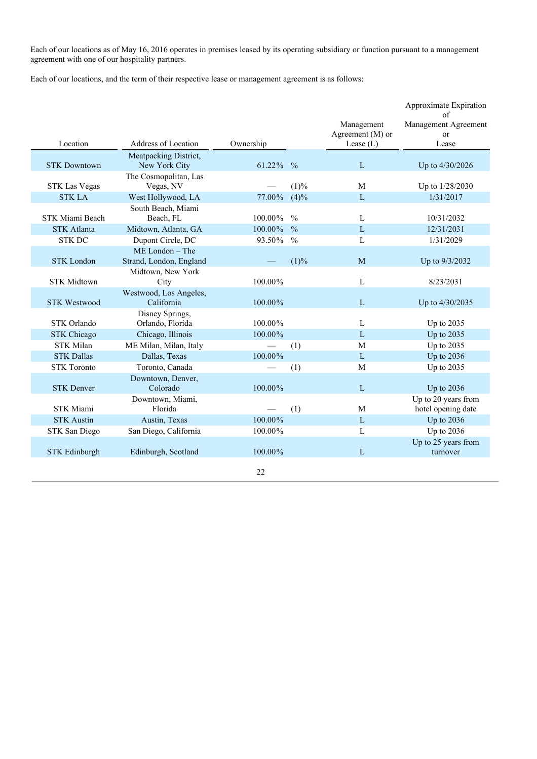Each of our locations as of May 16, 2016 operates in premises leased by its operating subsidiary or function pursuant to a management agreement with one of our hospitality partners.

Each of our locations, and the term of their respective lease or management agreement is as follows:

|                      |                                            |                          |               | Management<br>Agreement (M) or | Approximate Expiration<br>of<br>Management Agreement<br>$\alpha$ |
|----------------------|--------------------------------------------|--------------------------|---------------|--------------------------------|------------------------------------------------------------------|
| Location             | <b>Address of Location</b>                 | Ownership                |               | Lease $(L)$                    | Lease                                                            |
| <b>STK Downtown</b>  | Meatpacking District,<br>New York City     | 61.22% %                 |               | L                              | Up to 4/30/2026                                                  |
| <b>STK Las Vegas</b> | The Cosmopolitan, Las<br>Vegas, NV         |                          | (1)%          | M                              | Up to 1/28/2030                                                  |
| <b>STK LA</b>        | West Hollywood, LA                         | 77.00%                   | $(4)\%$       | L                              | 1/31/2017                                                        |
| STK Miami Beach      | South Beach, Miami<br>Beach, FL            | $100.00\%$               | $\frac{0}{0}$ | L                              | 10/31/2032                                                       |
| <b>STK Atlanta</b>   | Midtown, Atlanta, GA                       | 100.00%                  | $\frac{0}{0}$ | L                              | 12/31/2031                                                       |
| <b>STK DC</b>        | Dupont Circle, DC                          | 93.50%                   | $\frac{0}{0}$ | L                              | 1/31/2029                                                        |
| <b>STK</b> London    | ME London - The<br>Strand, London, England |                          | (1)%          | M                              | Up to 9/3/2032                                                   |
| <b>STK Midtown</b>   | Midtown, New York<br>City                  | $100.00\%$               |               | L                              | 8/23/2031                                                        |
| <b>STK Westwood</b>  | Westwood, Los Angeles,<br>California       | $100.00\%$               |               | L                              | Up to 4/30/2035                                                  |
| <b>STK Orlando</b>   | Disney Springs,<br>Orlando, Florida        | 100.00%                  |               | L                              | Up to 2035                                                       |
| <b>STK Chicago</b>   | Chicago, Illinois                          | 100.00%                  |               | L                              | Up to 2035                                                       |
| <b>STK Milan</b>     | ME Milan, Milan, Italy                     | $\overline{\phantom{0}}$ | (1)           | M                              | Up to 2035                                                       |
| <b>STK Dallas</b>    | Dallas, Texas                              | 100.00%                  |               | L                              | Up to 2036                                                       |
| <b>STK</b> Toronto   | Toronto, Canada                            |                          | (1)           | M                              | Up to 2035                                                       |
| <b>STK Denver</b>    | Downtown, Denver,<br>Colorado              | $100.00\%$               |               | L                              | Up to 2036                                                       |
| <b>STK Miami</b>     | Downtown, Miami,<br>Florida                |                          | (1)           | M                              | Up to 20 years from<br>hotel opening date                        |
| <b>STK Austin</b>    | Austin, Texas                              | $100.00\%$               |               | L                              | Up to 2036                                                       |
| STK San Diego        | San Diego, California                      | 100.00%                  |               | L                              | Up to 2036                                                       |
| <b>STK Edinburgh</b> | Edinburgh, Scotland                        | 100.00%                  |               | L                              | Up to 25 years from<br>turnover                                  |
|                      |                                            | 22                       |               |                                |                                                                  |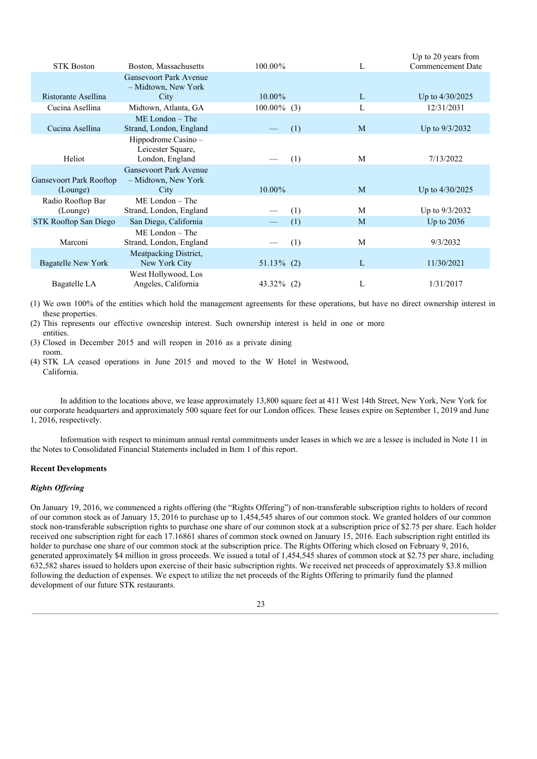| <b>STK Boston</b>                          | Boston, Massachusetts                                        | $100.00\%$     | L | Up to 20 years from<br><b>Commencement Date</b> |
|--------------------------------------------|--------------------------------------------------------------|----------------|---|-------------------------------------------------|
|                                            | <b>Gansevoort Park Avenue</b><br>- Midtown, New York         |                |   |                                                 |
| Ristorante Asellina                        | City                                                         | $10.00\%$      | L | Up to $4/30/2025$                               |
| Cucina Asellina                            | Midtown, Atlanta, GA                                         | $100.00\%$ (3) | L | 12/31/2031                                      |
| Cucina Asellina                            | $ME$ London – The<br>Strand, London, England                 | (1)            | M | Up to 9/3/2032                                  |
| Heliot                                     | Hippodrome Casino -<br>Leicester Square,<br>London, England  | (1)            | M | 7/13/2022                                       |
| <b>Gansevoort Park Rooftop</b><br>(Lounge) | <b>Gansevoort Park Avenue</b><br>- Midtown, New York<br>City | $10.00\%$      | M | Up to $4/30/2025$                               |
| Radio Rooftop Bar<br>(Lounge)              | $ME$ London – The<br>Strand, London, England                 | (1)            | M | Up to 9/3/2032                                  |
| <b>STK Rooftop San Diego</b>               | San Diego, California                                        | (1)            | M | Up to $2036$                                    |
| Marconi                                    | $ME$ London $-$ The<br>Strand, London, England               | (1)            | М | 9/3/2032                                        |
| <b>Bagatelle New York</b>                  | Meatpacking District,<br>New York City                       | $51.13\%$ (2)  | L | 11/30/2021                                      |
| Bagatelle LA                               | West Hollywood, Los<br>Angeles, California                   | 43.32% (2)     | L | 1/31/2017                                       |

(1) We own 100% of the entities which hold the management agreements for these operations, but have no direct ownership interest in these properties.

(2) This represents our effective ownership interest. Such ownership interest is held in one or more entities.

(3) Closed in December 2015 and will reopen in 2016 as a private dining room.

(4) STK LA ceased operations in June 2015 and moved to the W Hotel in Westwood, California.

In addition to the locations above, we lease approximately 13,800 square feet at 411 West 14th Street, New York, New York for our corporate headquarters and approximately 500 square feet for our London offices. These leases expire on September 1, 2019 and June 1, 2016, respectively.

Information with respect to minimum annual rental commitments under leases in which we are a lessee is included in Note 11 in the Notes to Consolidated Financial Statements included in Item 1 of this report.

# **Recent Developments**

# *Rights Of ering*

On January 19, 2016, we commenced a rights offering (the "Rights Offering") of non-transferable subscription rights to holders of record of our common stock as of January 15, 2016 to purchase up to 1,454,545 shares of our common stock. We granted holders of our common stock non-transferable subscription rights to purchase one share of our common stock at a subscription price of \$2.75 per share. Each holder received one subscription right for each 17.16861 shares of common stock owned on January 15, 2016. Each subscription right entitled its holder to purchase one share of our common stock at the subscription price. The Rights Offering which closed on February 9, 2016, generated approximately \$4 million in gross proceeds. We issued a total of 1,454,545 shares of common stock at \$2.75 per share, including 632,582 shares issued to holders upon exercise of their basic subscription rights. We received net proceeds of approximately \$3.8 million following the deduction of expenses. We expect to utilize the net proceeds of the Rights Offering to primarily fund the planned development of our future STK restaurants.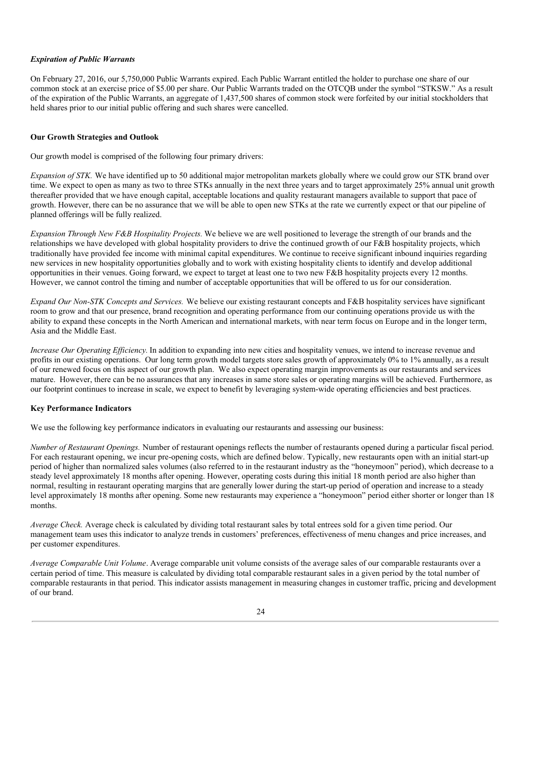# *Expiration of Public Warrants*

On February 27, 2016, our 5,750,000 Public Warrants expired. Each Public Warrant entitled the holder to purchase one share of our common stock at an exercise price of \$5.00 per share. Our Public Warrants traded on the OTCQB under the symbol "STKSW." As a result of the expiration of the Public Warrants, an aggregate of 1,437,500 shares of common stock were forfeited by our initial stockholders that held shares prior to our initial public offering and such shares were cancelled.

# **Our Growth Strategies and Outlook**

Our growth model is comprised of the following four primary drivers:

*Expansion of STK.* We have identified up to 50 additional major metropolitan markets globally where we could grow our STK brand over time. We expect to open as many as two to three STKs annually in the next three years and to target approximately 25% annual unit growth thereafter provided that we have enough capital, acceptable locations and quality restaurant managers available to support that pace of growth. However, there can be no assurance that we will be able to open new STKs at the rate we currently expect or that our pipeline of planned offerings will be fully realized.

*Expansion Through New F&B Hospitality Projects.* We believe we are well positioned to leverage the strength of our brands and the relationships we have developed with global hospitality providers to drive the continued growth of our F&B hospitality projects, which traditionally have provided fee income with minimal capital expenditures. We continue to receive significant inbound inquiries regarding new services in new hospitality opportunities globally and to work with existing hospitality clients to identify and develop additional opportunities in their venues. Going forward, we expect to target at least one to two new F&B hospitality projects every 12 months. However, we cannot control the timing and number of acceptable opportunities that will be offered to us for our consideration.

*Expand Our Non-STK Concepts and Services.* We believe our existing restaurant concepts and F&B hospitality services have significant room to grow and that our presence, brand recognition and operating performance from our continuing operations provide us with the ability to expand these concepts in the North American and international markets, with near term focus on Europe and in the longer term, Asia and the Middle East.

*Increase Our Operating Efficiency*. In addition to expanding into new cities and hospitality venues, we intend to increase revenue and profits in our existing operations. Our long term growth model targets store sales growth of approximately 0% to 1% annually, as a result of our renewed focus on this aspect of our growth plan. We also expect operating margin improvements as our restaurants and services mature. However, there can be no assurances that any increases in same store sales or operating margins will be achieved. Furthermore, as our footprint continues to increase in scale, we expect to benefit by leveraging system-wide operating efficiencies and best practices.

# **Key Performance Indicators**

We use the following key performance indicators in evaluating our restaurants and assessing our business:

*Number of Restaurant Openings.* Number of restaurant openings reflects the number of restaurants opened during a particular fiscal period. For each restaurant opening, we incur pre-opening costs, which are defined below. Typically, new restaurants open with an initial start-up period of higher than normalized sales volumes (also referred to in the restaurant industry as the "honeymoon" period), which decrease to a steady level approximately 18 months after opening. However, operating costs during this initial 18 month period are also higher than normal, resulting in restaurant operating margins that are generally lower during the start-up period of operation and increase to a steady level approximately 18 months after opening. Some new restaurants may experience a "honeymoon" period either shorter or longer than 18 months.

*Average Check.* Average check is calculated by dividing total restaurant sales by total entrees sold for a given time period. Our management team uses this indicator to analyze trends in customers' preferences, effectiveness of menu changes and price increases, and per customer expenditures.

*Average Comparable Unit Volume*. Average comparable unit volume consists of the average sales of our comparable restaurants over a certain period of time. This measure is calculated by dividing total comparable restaurant sales in a given period by the total number of comparable restaurants in that period. This indicator assists management in measuring changes in customer traffic, pricing and development of our brand.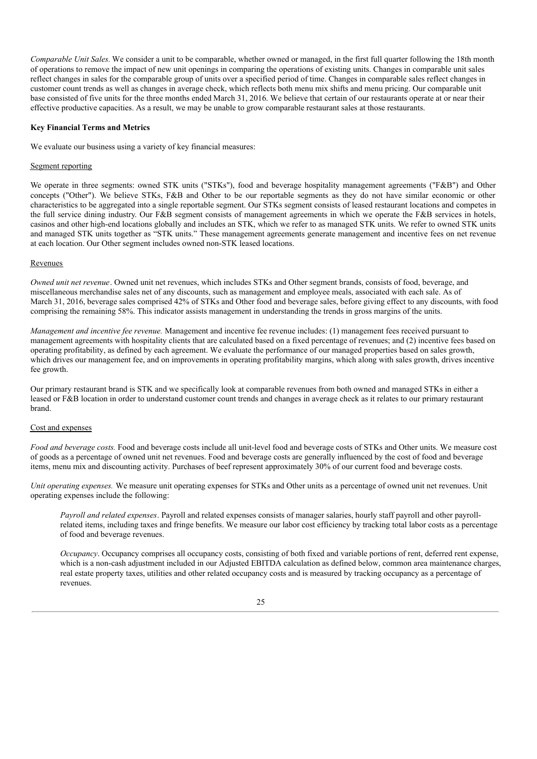*Comparable Unit Sales.* We consider a unit to be comparable, whether owned or managed, in the first full quarter following the 18th month of operations to remove the impact of new unit openings in comparing the operations of existing units. Changes in comparable unit sales reflect changes in sales for the comparable group of units over a specified period of time. Changes in comparable sales reflect changes in customer count trends as well as changes in average check, which reflects both menu mix shifts and menu pricing. Our comparable unit base consisted of five units for the three months ended March 31, 2016. We believe that certain of our restaurants operate at or near their effective productive capacities. As a result, we may be unable to grow comparable restaurant sales at those restaurants.

## **Key Financial Terms and Metrics**

We evaluate our business using a variety of key financial measures:

#### Segment reporting

We operate in three segments: owned STK units ("STKs"), food and beverage hospitality management agreements ("F&B") and Other concepts ("Other"). We believe STKs, F&B and Other to be our reportable segments as they do not have similar economic or other characteristics to be aggregated into a single reportable segment. Our STKs segment consists of leased restaurant locations and competes in the full service dining industry. Our F&B segment consists of management agreements in which we operate the F&B services in hotels, casinos and other high-end locations globally and includes an STK, which we refer to as managed STK units. We refer to owned STK units and managed STK units together as "STK units." These management agreements generate management and incentive fees on net revenue at each location. Our Other segment includes owned non-STK leased locations.

## Revenues

*Owned unit net revenue*. Owned unit net revenues, which includes STKs and Other segment brands, consists of food, beverage, and miscellaneous merchandise sales net of any discounts, such as management and employee meals, associated with each sale. As of March 31, 2016, beverage sales comprised 42% of STKs and Other food and beverage sales, before giving effect to any discounts, with food comprising the remaining 58%. This indicator assists management in understanding the trends in gross margins of the units.

*Management and incentive fee revenue.* Management and incentive fee revenue includes: (1) management fees received pursuant to management agreements with hospitality clients that are calculated based on a fixed percentage of revenues; and (2) incentive fees based on operating profitability, as defined by each agreement. We evaluate the performance of our managed properties based on sales growth, which drives our management fee, and on improvements in operating profitability margins, which along with sales growth, drives incentive fee growth.

Our primary restaurant brand is STK and we specifically look at comparable revenues from both owned and managed STKs in either a leased or F&B location in order to understand customer count trends and changes in average check as it relates to our primary restaurant brand.

# Cost and expenses

*Food and beverage costs.* Food and beverage costs include all unit-level food and beverage costs of STKs and Other units. We measure cost of goods as a percentage of owned unit net revenues. Food and beverage costs are generally influenced by the cost of food and beverage items, menu mix and discounting activity. Purchases of beef represent approximately 30% of our current food and beverage costs.

*Unit operating expenses.* We measure unit operating expenses for STKs and Other units as a percentage of owned unit net revenues. Unit operating expenses include the following:

*Payroll and related expenses*. Payroll and related expenses consists of manager salaries, hourly staff payroll and other payrollrelated items, including taxes and fringe benefits. We measure our labor cost efficiency by tracking total labor costs as a percentage of food and beverage revenues.

*Occupancy*. Occupancy comprises all occupancy costs, consisting of both fixed and variable portions of rent, deferred rent expense, which is a non-cash adjustment included in our Adjusted EBITDA calculation as defined below, common area maintenance charges, real estate property taxes, utilities and other related occupancy costs and is measured by tracking occupancy as a percentage of revenues.

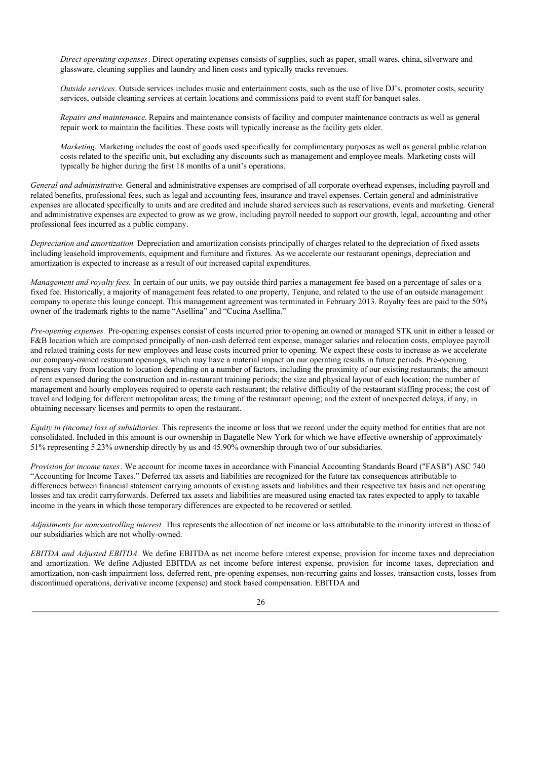*Direct operating expenses*. Direct operating expenses consists of supplies, such as paper, small wares, china, silverware and glassware, cleaning supplies and laundry and linen costs and typically tracks revenues.

*Outside services*. Outside services includes music and entertainment costs, such as the use of live DJ's, promoter costs, security services, outside cleaning services at certain locations and commissions paid to event staff for banquet sales.

*Repairs and maintenance*. Repairs and maintenance consists of facility and computer maintenance contracts as well as general repair work to maintain the facilities. These costs will typically increase as the facility gets older.

*Marketing.* Marketing includes the cost of goods used specifically for complimentary purposes as well as general public relation costs related to the specific unit, but excluding any discounts such as management and employee meals. Marketing costs will typically be higher during the first 18 months of a unit's operations.

*General and administrative.* General and administrative expenses are comprised of all corporate overhead expenses, including payroll and related benefits, professional fees, such as legal and accounting fees, insurance and travel expenses. Certain general and administrative expenses are allocated specifically to units and are credited and include shared services such as reservations, events and marketing. General and administrative expenses are expected to grow as we grow, including payroll needed to support our growth, legal, accounting and other professional fees incurred as a public company.

*Depreciation and amortization.* Depreciation and amortization consists principally of charges related to the depreciation of fixed assets including leasehold improvements, equipment and furniture and fixtures. As we accelerate our restaurant openings, depreciation and amortization is expected to increase as a result of our increased capital expenditures.

*Management and royalty fees.* In certain of our units, we pay outside third parties a management fee based on a percentage of sales or a fixed fee. Historically, a majority of management fees related to one property, Tenjune, and related to the use of an outside management company to operate this lounge concept. This management agreement was terminated in February 2013. Royalty fees are paid to the 50% owner of the trademark rights to the name "Asellina" and "Cucina Asellina."

*Pre-opening expenses.* Pre-opening expenses consist of costs incurred prior to opening an owned or managed STK unit in either a leased or F&B location which are comprised principally of non-cash deferred rent expense, manager salaries and relocation costs, employee payroll and related training costs for new employees and lease costs incurred prior to opening. We expect these costs to increase as we accelerate our company-owned restaurant openings, which may have a material impact on our operating results in future periods. Pre-opening expenses vary from location to location depending on a number of factors, including the proximity of our existing restaurants; the amount of rent expensed during the construction and in-restaurant training periods; the size and physical layout of each location; the number of management and hourly employees required to operate each restaurant; the relative difficulty of the restaurant staffing process; the cost of travel and lodging for different metropolitan areas; the timing of the restaurant opening; and the extent of unexpected delays, if any, in obtaining necessary licenses and permits to open the restaurant.

*Equity in (income) loss of subsidiaries.* This represents the income or loss that we record under the equity method for entities that are not consolidated. Included in this amount is our ownership in Bagatelle New York for which we have effective ownership of approximately 51% representing 5.23% ownership directly by us and 45.90% ownership through two of our subsidiaries.

*Provision for income taxes*. We account for income taxes in accordance with Financial Accounting Standards Board ("FASB") ASC 740 "Accounting for Income Taxes." Deferred tax assets and liabilities are recognized for the future tax consequences attributable to differences between financial statement carrying amounts of existing assets and liabilities and their respective tax basis and net operating losses and tax credit carryforwards. Deferred tax assets and liabilities are measured using enacted tax rates expected to apply to taxable income in the years in which those temporary differences are expected to be recovered or settled.

*Adjustments for noncontrolling interest.* This represents the allocation of net income or loss attributable to the minority interest in those of our subsidiaries which are not wholly-owned.

*EBITDA and Adjusted EBITDA.* We define EBITDA as net income before interest expense, provision for income taxes and depreciation and amortization. We define Adjusted EBITDA as net income before interest expense, provision for income taxes, depreciation and amortization, non-cash impairment loss, deferred rent, pre-opening expenses, non-recurring gains and losses, transaction costs, losses from discontinued operations, derivative income (expense) and stock based compensation. EBITDA and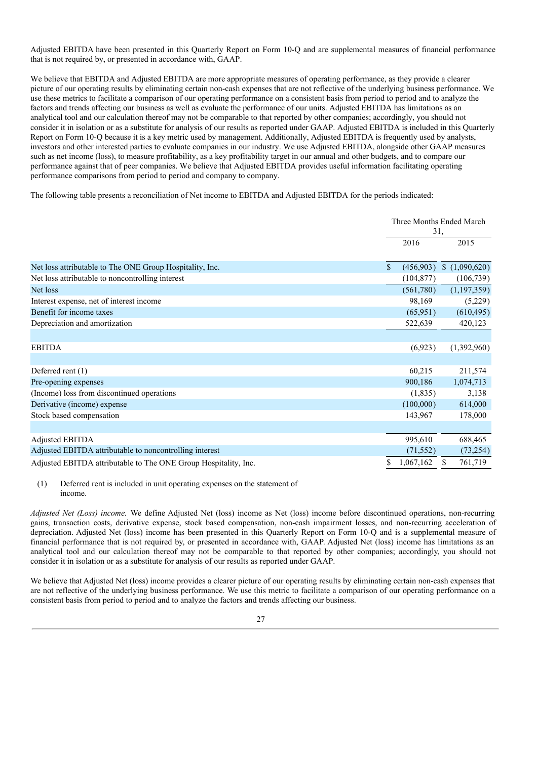Adjusted EBITDA have been presented in this Quarterly Report on Form 10-Q and are supplemental measures of financial performance that is not required by, or presented in accordance with, GAAP.

We believe that EBITDA and Adjusted EBITDA are more appropriate measures of operating performance, as they provide a clearer picture of our operating results by eliminating certain non-cash expenses that are not reflective of the underlying business performance. We use these metrics to facilitate a comparison of our operating performance on a consistent basis from period to period and to analyze the factors and trends affecting our business as well as evaluate the performance of our units. Adjusted EBITDA has limitations as an analytical tool and our calculation thereof may not be comparable to that reported by other companies; accordingly, you should not consider it in isolation or as a substitute for analysis of our results as reported under GAAP. Adjusted EBITDA is included in this Quarterly Report on Form 10-Q because it is a key metric used by management. Additionally, Adjusted EBITDA is frequently used by analysts, investors and other interested parties to evaluate companies in our industry. We use Adjusted EBITDA, alongside other GAAP measures such as net income (loss), to measure profitability, as a key profitability target in our annual and other budgets, and to compare our performance against that of peer companies. We believe that Adjusted EBITDA provides useful information facilitating operating performance comparisons from period to period and company to company.

The following table presents a reconciliation of Net income to EBITDA and Adjusted EBITDA for the periods indicated:

|                                                                 |                           | Three Months Ended March<br>31, |
|-----------------------------------------------------------------|---------------------------|---------------------------------|
|                                                                 | 2016                      | 2015                            |
| Net loss attributable to The ONE Group Hospitality, Inc.        | (456,903)<br>$\mathbb{S}$ | (1,090,620)                     |
| Net loss attributable to noncontrolling interest                | (104, 877)                | (106, 739)                      |
| Net loss                                                        | (561,780)                 | (1, 197, 359)                   |
| Interest expense, net of interest income                        | 98,169                    | (5,229)                         |
| Benefit for income taxes                                        | (65, 951)                 | (610, 495)                      |
| Depreciation and amortization                                   | 522,639                   | 420,123                         |
|                                                                 |                           |                                 |
| <b>EBITDA</b>                                                   | (6,923)                   | (1,392,960)                     |
|                                                                 |                           |                                 |
| Deferred rent (1)                                               | 60,215                    | 211,574                         |
| Pre-opening expenses                                            | 900,186                   | 1,074,713                       |
| (Income) loss from discontinued operations                      | (1,835)                   | 3,138                           |
| Derivative (income) expense                                     | (100,000)                 | 614,000                         |
| Stock based compensation                                        | 143,967                   | 178,000                         |
|                                                                 |                           |                                 |
| Adjusted EBITDA                                                 | 995,610                   | 688,465                         |
| Adjusted EBITDA attributable to noncontrolling interest         | (71, 552)                 | (73, 254)                       |
| Adjusted EBITDA attributable to The ONE Group Hospitality, Inc. | 1,067,162<br>\$           | 761,719<br>\$                   |

## (1) Deferred rent is included in unit operating expenses on the statement of income.

*Adjusted Net (Loss) income.* We define Adjusted Net (loss) income as Net (loss) income before discontinued operations, non-recurring gains, transaction costs, derivative expense, stock based compensation, non-cash impairment losses, and non-recurring acceleration of depreciation. Adjusted Net (loss) income has been presented in this Quarterly Report on Form 10-Q and is a supplemental measure of financial performance that is not required by, or presented in accordance with, GAAP. Adjusted Net (loss) income has limitations as an analytical tool and our calculation thereof may not be comparable to that reported by other companies; accordingly, you should not consider it in isolation or as a substitute for analysis of our results as reported under GAAP.

We believe that Adjusted Net (loss) income provides a clearer picture of our operating results by eliminating certain non-cash expenses that are not reflective of the underlying business performance. We use this metric to facilitate a comparison of our operating performance on a consistent basis from period to period and to analyze the factors and trends affecting our business.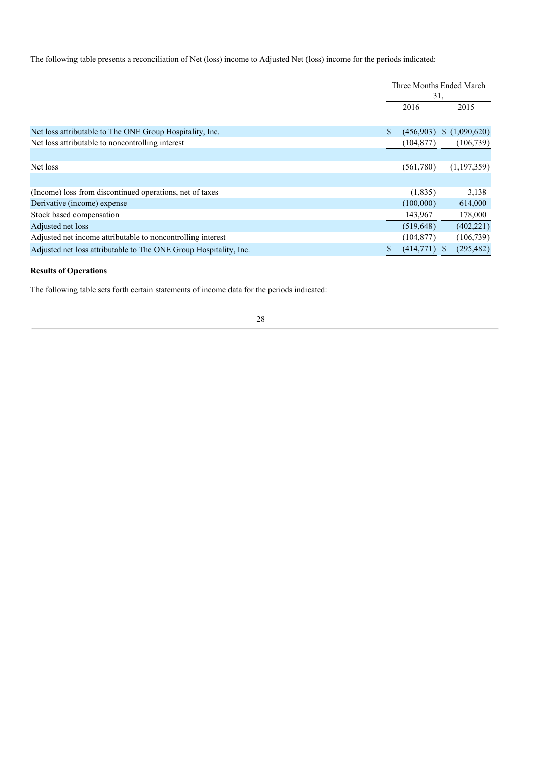The following table presents a reconciliation of Net (loss) income to Adjusted Net (loss) income for the periods indicated:

|                                                                   |    | Three Months Ended March<br>31, |             |  |
|-------------------------------------------------------------------|----|---------------------------------|-------------|--|
|                                                                   |    | 2016<br>2015                    |             |  |
|                                                                   |    |                                 |             |  |
| Net loss attributable to The ONE Group Hospitality, Inc.          | S. | (456,903)                       | (1,090,620) |  |
| Net loss attributable to noncontrolling interest                  |    | (104, 877)                      | (106, 739)  |  |
|                                                                   |    |                                 |             |  |
| Net loss                                                          |    | (561,780)                       | (1,197,359) |  |
|                                                                   |    |                                 |             |  |
| (Income) loss from discontinued operations, net of taxes          |    | (1,835)                         | 3,138       |  |
| Derivative (income) expense                                       |    | (100,000)                       | 614,000     |  |
| Stock based compensation                                          |    | 143,967                         | 178,000     |  |
| Adjusted net loss                                                 |    | (519, 648)                      | (402, 221)  |  |
| Adjusted net income attributable to noncontrolling interest       |    | (104, 877)                      | (106, 739)  |  |
| Adjusted net loss attributable to The ONE Group Hospitality, Inc. |    | (414,771)                       | (295, 482)  |  |

# **Results of Operations**

The following table sets forth certain statements of income data for the periods indicated: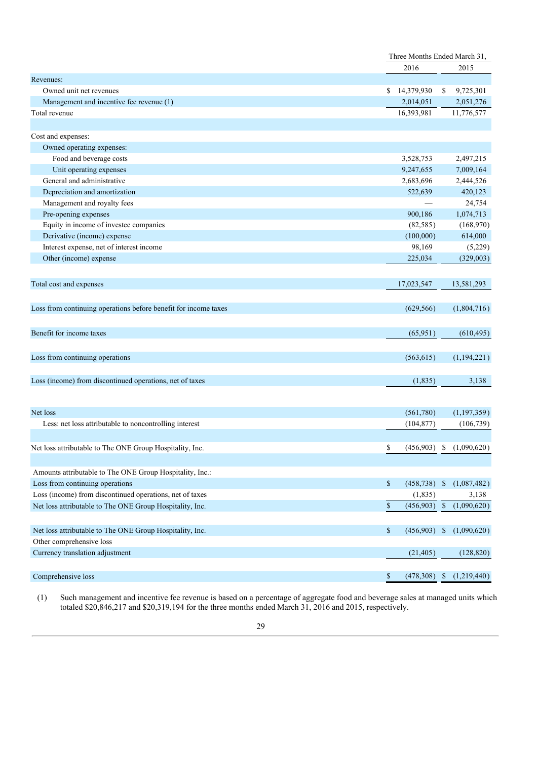|                                                                                      |                               | Three Months Ended March 31, |  |  |
|--------------------------------------------------------------------------------------|-------------------------------|------------------------------|--|--|
|                                                                                      | 2016                          | 2015                         |  |  |
| Revenues:                                                                            |                               |                              |  |  |
| Owned unit net revenues                                                              | 14,379,930<br>S.              | 9,725,301<br>\$              |  |  |
| Management and incentive fee revenue (1)                                             | 2,014,051                     | 2,051,276                    |  |  |
| Total revenue                                                                        | 16,393,981                    | 11,776,577                   |  |  |
|                                                                                      |                               |                              |  |  |
| Cost and expenses:                                                                   |                               |                              |  |  |
| Owned operating expenses:                                                            |                               |                              |  |  |
| Food and beverage costs                                                              | 3,528,753                     | 2,497,215                    |  |  |
| Unit operating expenses                                                              | 9,247,655                     | 7,009,164                    |  |  |
| General and administrative                                                           | 2,683,696                     | 2,444,526                    |  |  |
| Depreciation and amortization                                                        | 522,639                       | 420,123                      |  |  |
| Management and royalty fees                                                          |                               | 24,754                       |  |  |
| Pre-opening expenses                                                                 | 900,186                       | 1,074,713                    |  |  |
| Equity in income of investee companies                                               | (82, 585)                     | (168,970)                    |  |  |
| Derivative (income) expense                                                          | (100,000)                     | 614,000                      |  |  |
| Interest expense, net of interest income                                             | 98,169                        | (5,229)                      |  |  |
| Other (income) expense                                                               | 225,034                       | (329,003)                    |  |  |
|                                                                                      |                               |                              |  |  |
| Total cost and expenses                                                              | 17,023,547                    | 13,581,293                   |  |  |
|                                                                                      |                               |                              |  |  |
|                                                                                      |                               |                              |  |  |
| Loss from continuing operations before benefit for income taxes                      | (629, 566)                    | (1,804,716)                  |  |  |
|                                                                                      |                               |                              |  |  |
| Benefit for income taxes                                                             | (65,951)                      | (610, 495)                   |  |  |
|                                                                                      |                               |                              |  |  |
| Loss from continuing operations                                                      | (563, 615)                    | (1,194,221)                  |  |  |
|                                                                                      |                               |                              |  |  |
| Loss (income) from discontinued operations, net of taxes                             | (1,835)                       | 3,138                        |  |  |
|                                                                                      |                               |                              |  |  |
|                                                                                      |                               |                              |  |  |
| Net loss                                                                             | (561,780)                     | (1, 197, 359)                |  |  |
| Less: net loss attributable to noncontrolling interest                               | (104, 877)                    | (106, 739)                   |  |  |
|                                                                                      |                               |                              |  |  |
| Net loss attributable to The ONE Group Hospitality, Inc.                             | \$<br>(456,903)               | \$<br>(1,090,620)            |  |  |
|                                                                                      |                               |                              |  |  |
| Amounts attributable to The ONE Group Hospitality, Inc.:                             |                               |                              |  |  |
| Loss from continuing operations                                                      | \$<br>$(458, 738)$ \$         | (1,087,482)                  |  |  |
| Loss (income) from discontinued operations, net of taxes                             | (1, 835)                      | 3,138                        |  |  |
| Net loss attributable to The ONE Group Hospitality, Inc.                             | $\sqrt{\ }$<br>$(456,903)$ \$ | (1,090,620)                  |  |  |
|                                                                                      |                               |                              |  |  |
|                                                                                      |                               |                              |  |  |
| Net loss attributable to The ONE Group Hospitality, Inc.<br>Other comprehensive loss | \$<br>(456,903)               | (1,090,620)<br>- \$          |  |  |
|                                                                                      |                               |                              |  |  |
| Currency translation adjustment                                                      | (21, 405)                     | (128, 820)                   |  |  |
|                                                                                      |                               |                              |  |  |
| Comprehensive loss                                                                   | \$<br>$(478,308)$ \$          | (1,219,440)                  |  |  |

(1) Such management and incentive fee revenue is based on a percentage of aggregate food and beverage sales at managed units which totaled \$20,846,217 and \$20,319,194 for the three months ended March 31, 2016 and 2015, respectively.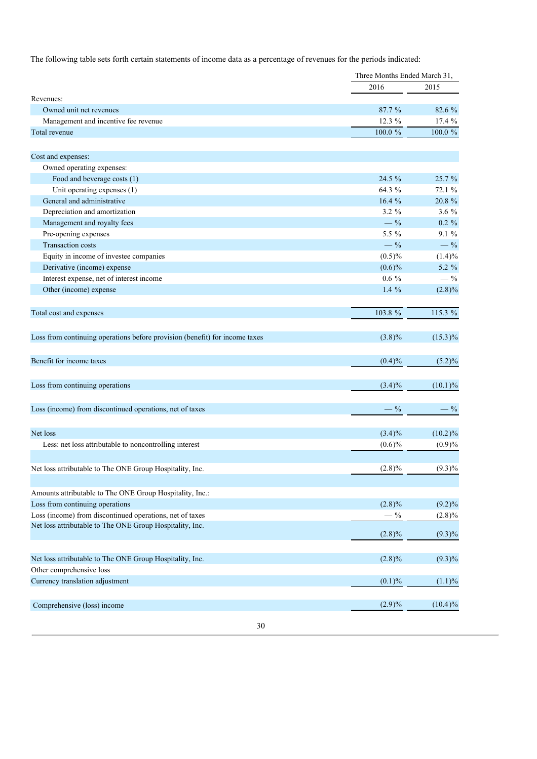The following table sets forth certain statements of income data as a percentage of revenues for the periods indicated:

|                                                                             |           | Three Months Ended March 31, |  |
|-----------------------------------------------------------------------------|-----------|------------------------------|--|
|                                                                             | 2016      | 2015                         |  |
| Revenues:                                                                   |           |                              |  |
| Owned unit net revenues                                                     | 87.7%     | 82.6 %                       |  |
| Management and incentive fee revenue                                        | 12.3 %    | 17.4 %                       |  |
| Total revenue                                                               | 100.0 %   | $100.0~\%$                   |  |
|                                                                             |           |                              |  |
| Cost and expenses:                                                          |           |                              |  |
| Owned operating expenses:                                                   |           |                              |  |
| Food and beverage costs (1)                                                 | $24.5\%$  | 25.7 %                       |  |
| Unit operating expenses (1)                                                 | 64.3 %    | 72.1 %                       |  |
| General and administrative                                                  | 16.4%     | 20.8 %                       |  |
| Depreciation and amortization                                               | $3.2 \%$  | 3.6 $%$                      |  |
| Management and royalty fees                                                 | $-$ %     | $0.2 \%$                     |  |
| Pre-opening expenses                                                        | 5.5 %     | $9.1\%$                      |  |
| <b>Transaction costs</b>                                                    | $-$ %     | $-$ %                        |  |
| Equity in income of investee companies                                      | $(0.5)\%$ | $(1.4)\%$                    |  |
| Derivative (income) expense                                                 | $(0.6)\%$ | 5.2 %                        |  |
| Interest expense, net of interest income                                    | $0.6\%$   | $-$ %                        |  |
| Other (income) expense                                                      | 1.4 $%$   | $(2.8)\%$                    |  |
|                                                                             |           |                              |  |
| Total cost and expenses                                                     | 103.8 %   | 115.3 %                      |  |
|                                                                             |           |                              |  |
| Loss from continuing operations before provision (benefit) for income taxes | $(3.8)\%$ | $(15.3)\%$                   |  |
| Benefit for income taxes                                                    | $(0.4)\%$ | $(5.2)\%$                    |  |
|                                                                             |           |                              |  |
| Loss from continuing operations                                             | $(3.4)\%$ | $(10.1)\%$                   |  |
| Loss (income) from discontinued operations, net of taxes                    | $-$ %     | $-$ %                        |  |
|                                                                             |           |                              |  |
| Net loss                                                                    | $(3.4)\%$ | (10.2)%                      |  |
| Less: net loss attributable to noncontrolling interest                      | $(0.6)\%$ | $(0.9)\%$                    |  |
|                                                                             |           |                              |  |
| Net loss attributable to The ONE Group Hospitality, Inc.                    | $(2.8)\%$ | $(9.3)\%$                    |  |
|                                                                             |           |                              |  |
| Amounts attributable to The ONE Group Hospitality, Inc.:                    |           |                              |  |
| Loss from continuing operations                                             | $(2.8)\%$ | $(9.2)\%$                    |  |
| Loss (income) from discontinued operations, net of taxes                    | $-$ %     | $(2.8)\%$                    |  |
| Net loss attributable to The ONE Group Hospitality, Inc.                    | $(2.8)\%$ | $(9.3)\%$                    |  |
|                                                                             |           |                              |  |
| Net loss attributable to The ONE Group Hospitality, Inc.                    | $(2.8)\%$ | $(9.3)\%$                    |  |
| Other comprehensive loss                                                    |           |                              |  |
| Currency translation adjustment                                             | (0.1)%    | $(1.1)\%$                    |  |
|                                                                             |           |                              |  |
| Comprehensive (loss) income                                                 | $(2.9)\%$ | $(10.4)\%$                   |  |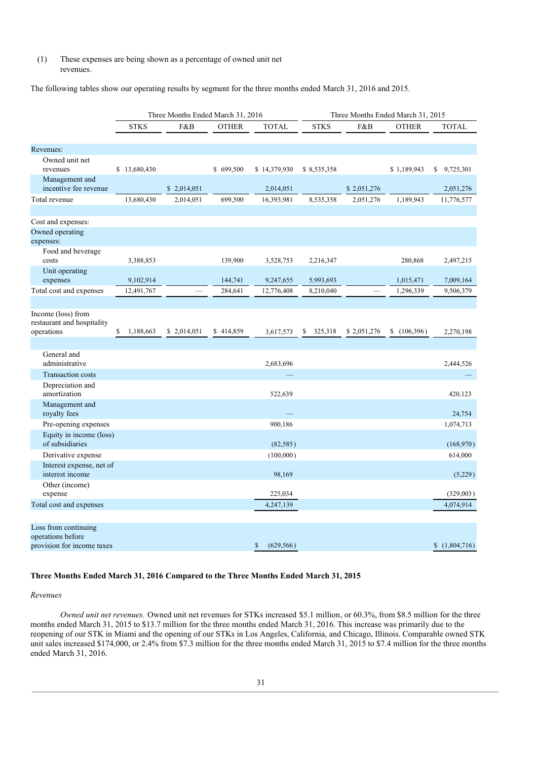# (1) These expenses are being shown as a percentage of owned unit net revenues.

The following tables show our operating results by segment for the three months ended March 31, 2016 and 2015.

|                                                                         | Three Months Ended March 31, 2016 |             |              | Three Months Ended March 31, 2015 |               |             |              |                |
|-------------------------------------------------------------------------|-----------------------------------|-------------|--------------|-----------------------------------|---------------|-------------|--------------|----------------|
|                                                                         | <b>STKS</b>                       | F&B         | <b>OTHER</b> | <b>TOTAL</b>                      | <b>STKS</b>   | F&B         | <b>OTHER</b> | <b>TOTAL</b>   |
|                                                                         |                                   |             |              |                                   |               |             |              |                |
| Revenues:                                                               |                                   |             |              |                                   |               |             |              |                |
| Owned unit net<br>revenues                                              | \$13,680,430                      |             | \$699,500    | \$14,379,930                      | \$8,535,358   |             | \$1,189,943  | 9,725,301<br>S |
| Management and<br>incentive fee revenue                                 |                                   | \$2,014,051 |              | 2,014,051                         |               | \$2,051,276 |              | 2,051,276      |
| Total revenue                                                           | 13,680,430                        | 2,014,051   | 699,500      | 16,393,981                        | 8,535,358     | 2,051,276   | 1,189,943    | 11,776,577     |
| Cost and expenses:<br>Owned operating<br>expenses:                      |                                   |             |              |                                   |               |             |              |                |
| Food and beverage<br>costs                                              | 3,388,853                         |             | 139,900      | 3,528,753                         | 2,216,347     |             | 280,868      | 2,497,215      |
| Unit operating<br>expenses                                              | 9,102,914                         |             | 144,741      | 9,247,655                         | 5,993,693     |             | 1,015,471    | 7,009,164      |
| Total cost and expenses                                                 | 12,491,767                        |             | 284,641      | 12,776,408                        | 8,210,040     |             | 1,296,339    | 9,506,379      |
|                                                                         |                                   |             |              |                                   |               |             |              |                |
| Income (loss) from<br>restaurant and hospitality<br>operations          | 1,188,663<br>\$                   | \$2,014,051 | \$414,859    | 3,617,573                         | 325,318<br>\$ | \$2,051,276 | \$(106,396)  | 2,270,198      |
|                                                                         |                                   |             |              |                                   |               |             |              |                |
| General and<br>administrative                                           |                                   |             |              | 2,683,696                         |               |             |              | 2,444,526      |
| <b>Transaction costs</b>                                                |                                   |             |              |                                   |               |             |              |                |
| Depreciation and<br>amortization                                        |                                   |             |              | 522,639                           |               |             |              | 420,123        |
| Management and<br>royalty fees                                          |                                   |             |              |                                   |               |             |              | 24,754         |
| Pre-opening expenses                                                    |                                   |             |              | 900,186                           |               |             |              | 1,074,713      |
| Equity in income (loss)<br>of subsidiaries                              |                                   |             |              | (82, 585)                         |               |             |              | (168,970)      |
| Derivative expense                                                      |                                   |             |              | (100,000)                         |               |             |              | 614,000        |
| Interest expense, net of<br>interest income                             |                                   |             |              | 98,169                            |               |             |              | (5,229)        |
| Other (income)                                                          |                                   |             |              |                                   |               |             |              |                |
| expense                                                                 |                                   |             |              | 225,034                           |               |             |              | (329,003)      |
| Total cost and expenses                                                 |                                   |             |              | 4,247,139                         |               |             |              | 4,074,914      |
|                                                                         |                                   |             |              |                                   |               |             |              |                |
| Loss from continuing<br>operations before<br>provision for income taxes |                                   |             |              | \$<br>(629, 566)                  |               |             |              | (1,804,716)    |

# **Three Months Ended March 31, 2016 Compared to the Three Months Ended March 31, 2015**

# *Revenues*

*Owned unit net revenues.* Owned unit net revenues for STKs increased \$5.1 million, or 60.3%, from \$8.5 million for the three months ended March 31, 2015 to \$13.7 million for the three months ended March 31, 2016. This increase was primarily due to the reopening of our STK in Miami and the opening of our STKs in Los Angeles, California, and Chicago, Illinois. Comparable owned STK unit sales increased \$174,000, or 2.4% from \$7.3 million for the three months ended March 31, 2015 to \$7.4 million for the three months ended March 31, 2016.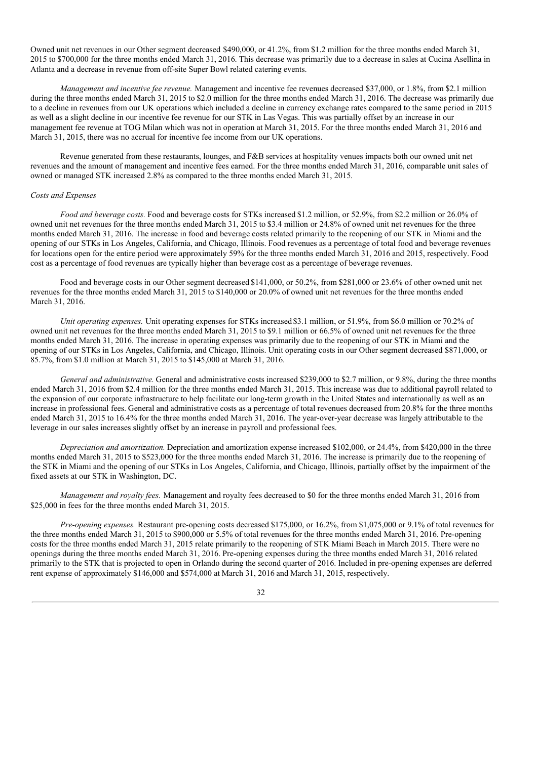Owned unit net revenues in our Other segment decreased \$490,000, or 41.2%, from \$1.2 million for the three months ended March 31, 2015 to \$700,000 for the three months ended March 31, 2016. This decrease was primarily due to a decrease in sales at Cucina Asellina in Atlanta and a decrease in revenue from off-site Super Bowl related catering events.

*Management and incentive fee revenue.* Management and incentive fee revenues decreased \$37,000, or 1.8%, from \$2.1 million during the three months ended March 31, 2015 to \$2.0 million for the three months ended March 31, 2016. The decrease was primarily due to a decline in revenues from our UK operations which included a decline in currency exchange rates compared to the same period in 2015 as well as a slight decline in our incentive fee revenue for our STK in Las Vegas. This was partially offset by an increase in our management fee revenue at TOG Milan which was not in operation at March 31, 2015. For the three months ended March 31, 2016 and March 31, 2015, there was no accrual for incentive fee income from our UK operations.

Revenue generated from these restaurants, lounges, and F&B services at hospitality venues impacts both our owned unit net revenues and the amount of management and incentive fees earned. For the three months ended March 31, 2016, comparable unit sales of owned or managed STK increased 2.8% as compared to the three months ended March 31, 2015.

## *Costs and Expenses*

*Food and beverage costs.* Food and beverage costs for STKs increased \$1.2 million, or 52.9%, from \$2.2 million or 26.0% of owned unit net revenues for the three months ended March 31, 2015 to \$3.4 million or 24.8% of owned unit net revenues for the three months ended March 31, 2016. The increase in food and beverage costs related primarily to the reopening of our STK in Miami and the opening of our STKs in Los Angeles, California, and Chicago, Illinois. Food revenues as a percentage of total food and beverage revenues for locations open for the entire period were approximately 59% for the three months ended March 31, 2016 and 2015, respectively. Food cost as a percentage of food revenues are typically higher than beverage cost as a percentage of beverage revenues.

Food and beverage costs in our Other segment decreased\$141,000, or 50.2%, from \$281,000 or 23.6% of other owned unit net revenues for the three months ended March 31, 2015 to \$140,000 or 20.0% of owned unit net revenues for the three months ended March 31, 2016.

*Unit operating expenses.* Unit operating expenses for STKs increased\$3.1 million, or 51.9%, from \$6.0 million or 70.2% of owned unit net revenues for the three months ended March 31, 2015 to \$9.1 million or 66.5% of owned unit net revenues for the three months ended March 31, 2016. The increase in operating expenses was primarily due to the reopening of our STK in Miami and the opening of our STKs in Los Angeles, California, and Chicago, Illinois. Unit operating costs in our Other segment decreased \$871,000, or 85.7%, from \$1.0 million at March 31, 2015 to \$145,000 at March 31, 2016.

*General and administrative.* General and administrative costs increased \$239,000 to \$2.7 million, or 9.8%, during the three months ended March 31, 2016 from \$2.4 million for the three months ended March 31, 2015. This increase was due to additional payroll related to the expansion of our corporate infrastructure to help facilitate our long-term growth in the United States and internationally as well as an increase in professional fees. General and administrative costs as a percentage of total revenues decreased from 20.8% for the three months ended March 31, 2015 to 16.4% for the three months ended March 31, 2016. The year-over-year decrease was largely attributable to the leverage in our sales increases slightly offset by an increase in payroll and professional fees.

*Depreciation and amortization.* Depreciation and amortization expense increased \$102,000, or 24.4%, from \$420,000 in the three months ended March 31, 2015 to \$523,000 for the three months ended March 31, 2016. The increase is primarily due to the reopening of the STK in Miami and the opening of our STKs in Los Angeles, California, and Chicago, Illinois, partially offset by the impairment of the fixed assets at our STK in Washington, DC.

*Management and royalty fees.* Management and royalty fees decreased to \$0 for the three months ended March 31, 2016 from \$25,000 in fees for the three months ended March 31, 2015.

*Pre-opening expenses.* Restaurant pre-opening costs decreased \$175,000, or 16.2%, from \$1,075,000 or 9.1% of total revenues for the three months ended March 31, 2015 to \$900,000 or 5.5% of total revenues for the three months ended March 31, 2016. Pre-opening costs for the three months ended March 31, 2015 relate primarily to the reopening of STK Miami Beach in March 2015. There were no openings during the three months ended March 31, 2016. Pre-opening expenses during the three months ended March 31, 2016 related primarily to the STK that is projected to open in Orlando during the second quarter of 2016. Included in pre-opening expenses are deferred rent expense of approximately \$146,000 and \$574,000 at March 31, 2016 and March 31, 2015, respectively.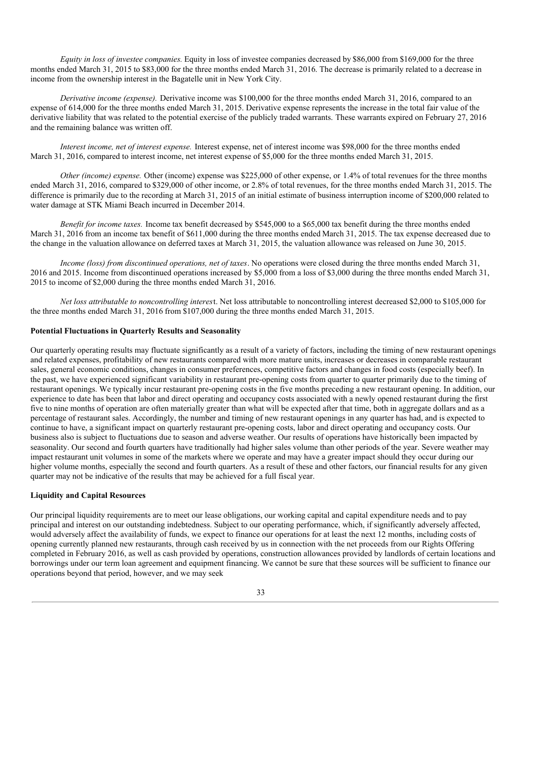*Equity in loss of investee companies.* Equity in loss of investee companies decreased by \$86,000 from \$169,000 for the three months ended March 31, 2015 to \$83,000 for the three months ended March 31, 2016. The decrease is primarily related to a decrease in income from the ownership interest in the Bagatelle unit in New York City.

*Derivative income (expense).* Derivative income was \$100,000 for the three months ended March 31, 2016, compared to an expense of 614,000 for the three months ended March 31, 2015. Derivative expense represents the increase in the total fair value of the derivative liability that was related to the potential exercise of the publicly traded warrants. These warrants expired on February 27, 2016 and the remaining balance was written off.

*Interest income, net of interest expense.* Interest expense, net of interest income was \$98,000 for the three months ended March 31, 2016, compared to interest income, net interest expense of \$5,000 for the three months ended March 31, 2015.

*Other (income) expense.* Other (income) expense was \$225,000 of other expense, or 1.4% of total revenues for the three months ended March 31, 2016, compared to \$329,000 of other income, or 2.8% of total revenues, for the three months ended March 31, 2015. The difference is primarily due to the recording at March 31, 2015 of an initial estimate of business interruption income of \$200,000 related to water damage at STK Miami Beach incurred in December 2014.

*Benefit for income taxes.* Income tax benefit decreased by \$545,000 to a \$65,000 tax benefit during the three months ended March 31, 2016 from an income tax benefit of \$611,000 during the three months ended March 31, 2015. The tax expense decreased due to the change in the valuation allowance on deferred taxes at March 31, 2015, the valuation allowance was released on June 30, 2015.

*Income (loss) from discontinued operations, net of taxes*. No operations were closed during the three months ended March 31, 2016 and 2015. Income from discontinued operations increased by \$5,000 from a loss of \$3,000 during the three months ended March 31, 2015 to income of \$2,000 during the three months ended March 31, 2016.

*Net loss attributable to noncontrolling interes*t. Net loss attributable to noncontrolling interest decreased \$2,000 to \$105,000 for the three months ended March 31, 2016 from \$107,000 during the three months ended March 31, 2015.

## **Potential Fluctuations in Quarterly Results and Seasonality**

Our quarterly operating results may fluctuate significantly as a result of a variety of factors, including the timing of new restaurant openings and related expenses, profitability of new restaurants compared with more mature units, increases or decreases in comparable restaurant sales, general economic conditions, changes in consumer preferences, competitive factors and changes in food costs (especially beef). In the past, we have experienced significant variability in restaurant pre-opening costs from quarter to quarter primarily due to the timing of restaurant openings. We typically incur restaurant pre-opening costs in the five months preceding a new restaurant opening. In addition, our experience to date has been that labor and direct operating and occupancy costs associated with a newly opened restaurant during the first five to nine months of operation are often materially greater than what will be expected after that time, both in aggregate dollars and as a percentage of restaurant sales. Accordingly, the number and timing of new restaurant openings in any quarter has had, and is expected to continue to have, a significant impact on quarterly restaurant pre-opening costs, labor and direct operating and occupancy costs. Our business also is subject to fluctuations due to season and adverse weather. Our results of operations have historically been impacted by seasonality. Our second and fourth quarters have traditionally had higher sales volume than other periods of the year. Severe weather may impact restaurant unit volumes in some of the markets where we operate and may have a greater impact should they occur during our higher volume months, especially the second and fourth quarters. As a result of these and other factors, our financial results for any given quarter may not be indicative of the results that may be achieved for a full fiscal year.

# **Liquidity and Capital Resources**

Our principal liquidity requirements are to meet our lease obligations, our working capital and capital expenditure needs and to pay principal and interest on our outstanding indebtedness. Subject to our operating performance, which, if significantly adversely affected, would adversely affect the availability of funds, we expect to finance our operations for at least the next 12 months, including costs of opening currently planned new restaurants, through cash received by us in connection with the net proceeds from our Rights Offering completed in February 2016, as well as cash provided by operations, construction allowances provided by landlords of certain locations and borrowings under our term loan agreement and equipment financing. We cannot be sure that these sources will be sufficient to finance our operations beyond that period, however, and we may seek

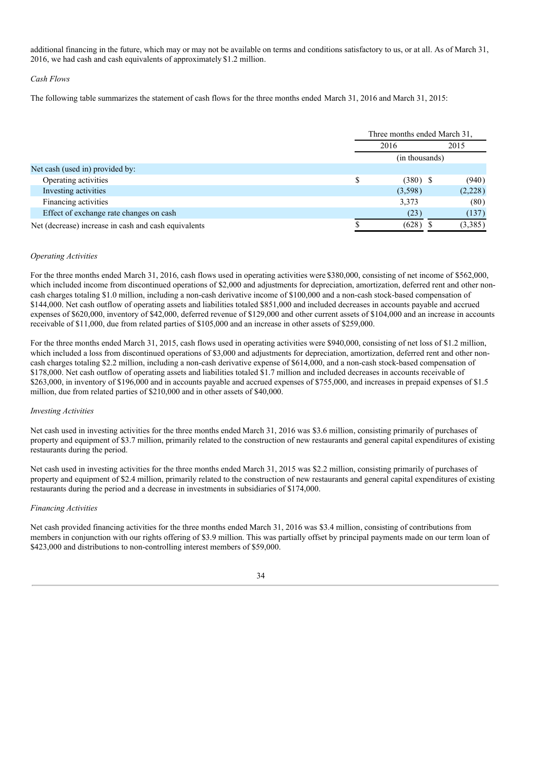additional financing in the future, which may or may not be available on terms and conditions satisfactory to us, or at all. As of March 31, 2016, we had cash and cash equivalents of approximately\$1.2 million.

## *Cash Flows*

The following table summarizes the statement of cash flows for the three months ended March 31, 2016 and March 31, 2015:

|                                                      | Three months ended March 31, |  |         |
|------------------------------------------------------|------------------------------|--|---------|
|                                                      | 2016<br>2015                 |  |         |
|                                                      | (in thousands)               |  |         |
| Net cash (used in) provided by:                      |                              |  |         |
| Operating activities                                 | $(380)$ \$                   |  | (940)   |
| Investing activities                                 | (3,598)                      |  | (2,228) |
| Financing activities                                 | 3,373                        |  | (80)    |
| Effect of exchange rate changes on cash              | (23)                         |  | (137)   |
| Net (decrease) increase in cash and cash equivalents | (628)                        |  | (3,385) |

#### *Operating Activities*

For the three months ended March 31, 2016, cash flows used in operating activities were\$380,000, consisting of net income of \$562,000, which included income from discontinued operations of \$2,000 and adjustments for depreciation, amortization, deferred rent and other noncash charges totaling \$1.0 million, including a non-cash derivative income of \$100,000 and a non-cash stock-based compensation of \$144,000. Net cash outflow of operating assets and liabilities totaled \$851,000 and included decreases in accounts payable and accrued expenses of \$620,000, inventory of \$42,000, deferred revenue of \$129,000 and other current assets of \$104,000 and an increase in accounts receivable of \$11,000, due from related parties of \$105,000 and an increase in other assets of \$259,000.

For the three months ended March 31, 2015, cash flows used in operating activities were \$940,000, consisting of net loss of \$1.2 million, which included a loss from discontinued operations of \$3,000 and adjustments for depreciation, amortization, deferred rent and other noncash charges totaling \$2.2 million, including a non-cash derivative expense of \$614,000, and a non-cash stock-based compensation of \$178,000. Net cash outflow of operating assets and liabilities totaled \$1.7 million and included decreases in accounts receivable of \$263,000, in inventory of \$196,000 and in accounts payable and accrued expenses of \$755,000, and increases in prepaid expenses of \$1.5 million, due from related parties of \$210,000 and in other assets of \$40,000.

#### *Investing Activities*

Net cash used in investing activities for the three months ended March 31, 2016 was \$3.6 million, consisting primarily of purchases of property and equipment of \$3.7 million, primarily related to the construction of new restaurants and general capital expenditures of existing restaurants during the period.

Net cash used in investing activities for the three months ended March 31, 2015 was \$2.2 million, consisting primarily of purchases of property and equipment of \$2.4 million, primarily related to the construction of new restaurants and general capital expenditures of existing restaurants during the period and a decrease in investments in subsidiaries of \$174,000.

# *Financing Activities*

Net cash provided financing activities for the three months ended March 31, 2016 was \$3.4 million, consisting of contributions from members in conjunction with our rights offering of \$3.9 million. This was partially offset by principal payments made on our term loan of \$423,000 and distributions to non-controlling interest members of \$59,000.

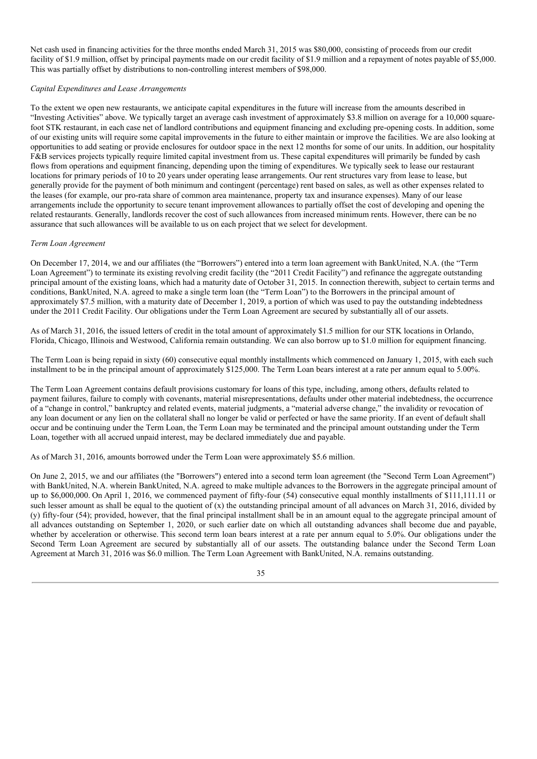Net cash used in financing activities for the three months ended March 31, 2015 was \$80,000, consisting of proceeds from our credit facility of \$1.9 million, offset by principal payments made on our credit facility of \$1.9 million and a repayment of notes payable of \$5,000. This was partially offset by distributions to non-controlling interest members of \$98,000.

## *Capital Expenditures and Lease Arrangements*

To the extent we open new restaurants, we anticipate capital expenditures in the future will increase from the amounts described in "Investing Activities" above. We typically target an average cash investment of approximately \$3.8 million on average for a 10,000 squarefoot STK restaurant, in each case net of landlord contributions and equipment financing and excluding pre-opening costs. In addition, some of our existing units will require some capital improvements in the future to either maintain or improve the facilities. We are also looking at opportunities to add seating or provide enclosures for outdoor space in the next 12 months for some of our units. In addition, our hospitality F&B services projects typically require limited capital investment from us. These capital expenditures will primarily be funded by cash flows from operations and equipment financing, depending upon the timing of expenditures. We typically seek to lease our restaurant locations for primary periods of 10 to 20 years under operating lease arrangements. Our rent structures vary from lease to lease, but generally provide for the payment of both minimum and contingent (percentage) rent based on sales, as well as other expenses related to the leases (for example, our pro-rata share of common area maintenance, property tax and insurance expenses). Many of our lease arrangements include the opportunity to secure tenant improvement allowances to partially offset the cost of developing and opening the related restaurants. Generally, landlords recover the cost of such allowances from increased minimum rents. However, there can be no assurance that such allowances will be available to us on each project that we select for development.

## *Term Loan Agreement*

On December 17, 2014, we and our affiliates (the "Borrowers") entered into a term loan agreement with BankUnited, N.A. (the "Term Loan Agreement") to terminate its existing revolving credit facility (the "2011 Credit Facility") and refinance the aggregate outstanding principal amount of the existing loans, which had a maturity date of October 31, 2015. In connection therewith, subject to certain terms and conditions, BankUnited, N.A. agreed to make a single term loan (the "Term Loan") to the Borrowers in the principal amount of approximately \$7.5 million, with a maturity date of December 1, 2019, a portion of which was used to pay the outstanding indebtedness under the 2011 Credit Facility. Our obligations under the Term Loan Agreement are secured by substantially all of our assets.

As of March 31, 2016, the issued letters of credit in the total amount of approximately \$1.5 million for our STK locations in Orlando, Florida, Chicago, Illinois and Westwood, California remain outstanding. We can also borrow up to \$1.0 million for equipment financing.

The Term Loan is being repaid in sixty (60) consecutive equal monthly installments which commenced on January 1, 2015, with each such installment to be in the principal amount of approximately \$125,000. The Term Loan bears interest at a rate per annum equal to 5.00%.

The Term Loan Agreement contains default provisions customary for loans of this type, including, among others, defaults related to payment failures, failure to comply with covenants, material misrepresentations, defaults under other material indebtedness, the occurrence of a "change in control," bankruptcy and related events, material judgments, a "material adverse change," the invalidity or revocation of any loan document or any lien on the collateral shall no longer be valid or perfected or have the same priority. If an event of default shall occur and be continuing under the Term Loan, the Term Loan may be terminated and the principal amount outstanding under the Term Loan, together with all accrued unpaid interest, may be declared immediately due and payable.

As of March 31, 2016, amounts borrowed under the Term Loan were approximately \$5.6 million.

On June 2, 2015, we and our affiliates (the "Borrowers") entered into a second term loan agreement (the "Second Term Loan Agreement") with BankUnited, N.A. wherein BankUnited, N.A. agreed to make multiple advances to the Borrowers in the aggregate principal amount of up to \$6,000,000. On April 1, 2016, we commenced payment of fifty-four (54) consecutive equal monthly installments of \$111,111.11 or such lesser amount as shall be equal to the quotient of (x) the outstanding principal amount of all advances on March 31, 2016, divided by (y) fifty-four (54); provided, however, that the final principal installment shall be in an amount equal to the aggregate principal amount of all advances outstanding on September 1, 2020, or such earlier date on which all outstanding advances shall become due and payable, whether by acceleration or otherwise. This second term loan bears interest at a rate per annum equal to 5.0%. Our obligations under the Second Term Loan Agreement are secured by substantially all of our assets. The outstanding balance under the Second Term Loan Agreement at March 31, 2016 was \$6.0 million. The Term Loan Agreement with BankUnited, N.A. remains outstanding.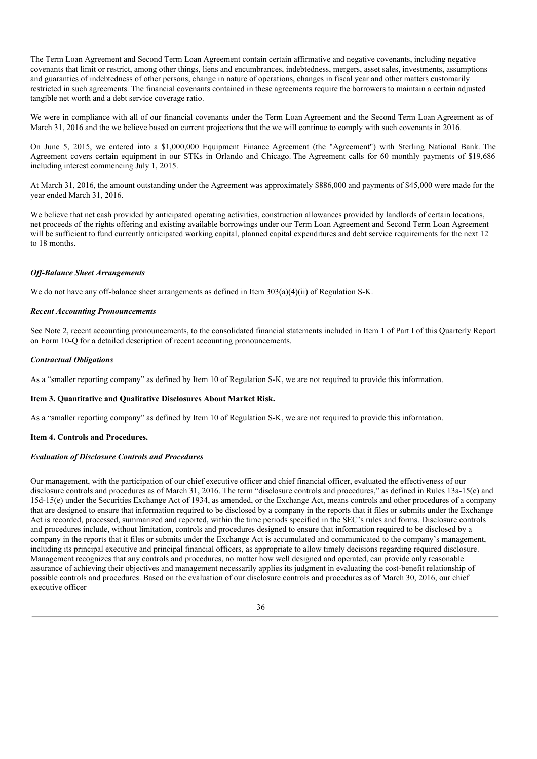The Term Loan Agreement and Second Term Loan Agreement contain certain affirmative and negative covenants, including negative covenants that limit or restrict, among other things, liens and encumbrances, indebtedness, mergers, asset sales, investments, assumptions and guaranties of indebtedness of other persons, change in nature of operations, changes in fiscal year and other matters customarily restricted in such agreements. The financial covenants contained in these agreements require the borrowers to maintain a certain adjusted tangible net worth and a debt service coverage ratio.

We were in compliance with all of our financial covenants under the Term Loan Agreement and the Second Term Loan Agreement as of March 31, 2016 and the we believe based on current projections that the we will continue to comply with such covenants in 2016.

On June 5, 2015, we entered into a \$1,000,000 Equipment Finance Agreement (the "Agreement") with Sterling National Bank. The Agreement covers certain equipment in our STKs in Orlando and Chicago. The Agreement calls for 60 monthly payments of \$19,686 including interest commencing July 1, 2015.

At March 31, 2016, the amount outstanding under the Agreement was approximately \$886,000 and payments of \$45,000 were made for the year ended March 31, 2016.

We believe that net cash provided by anticipated operating activities, construction allowances provided by landlords of certain locations, net proceeds of the rights offering and existing available borrowings under our Term Loan Agreement and Second Term Loan Agreement will be sufficient to fund currently anticipated working capital, planned capital expenditures and debt service requirements for the next 12 to 18 months.

# *Of -Balance Sheet Arrangements*

We do not have any off-balance sheet arrangements as defined in Item 303(a)(4)(ii) of Regulation S-K.

## *Recent Accounting Pronouncements*

See Note 2, recent accounting pronouncements, to the consolidated financial statements included in Item 1 of Part I of this Quarterly Report on Form 10-Q for a detailed description of recent accounting pronouncements.

## *Contractual Obligations*

As a "smaller reporting company" as defined by Item 10 of Regulation S-K, we are not required to provide this information.

# **Item 3. Quantitative and Qualitative Disclosures About Market Risk.**

As a "smaller reporting company" as defined by Item 10 of Regulation S-K, we are not required to provide this information.

#### **Item 4. Controls and Procedures.**

# *Evaluation of Disclosure Controls and Procedures*

Our management, with the participation of our chief executive officer and chief financial officer, evaluated the effectiveness of our disclosure controls and procedures as of March 31, 2016. The term "disclosure controls and procedures," as defined in Rules 13a-15(e) and 15d-15(e) under the Securities Exchange Act of 1934, as amended, or the Exchange Act, means controls and other procedures of a company that are designed to ensure that information required to be disclosed by a company in the reports that it files or submits under the Exchange Act is recorded, processed, summarized and reported, within the time periods specified in the SEC's rules and forms. Disclosure controls and procedures include, without limitation, controls and procedures designed to ensure that information required to be disclosed by a company in the reports that it files or submits under the Exchange Act is accumulated and communicated to the company's management, including its principal executive and principal financial officers, as appropriate to allow timely decisions regarding required disclosure. Management recognizes that any controls and procedures, no matter how well designed and operated, can provide only reasonable assurance of achieving their objectives and management necessarily applies its judgment in evaluating the cost-benefit relationship of possible controls and procedures. Based on the evaluation of our disclosure controls and procedures as of March 30, 2016, our chief executive officer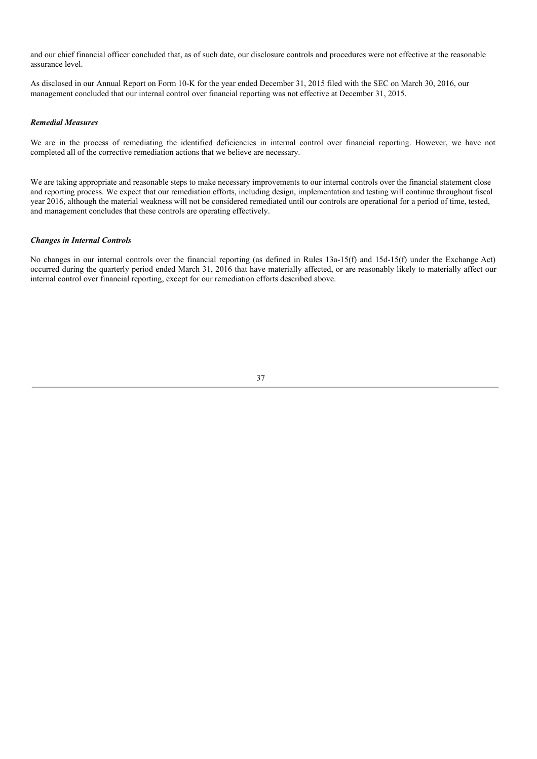and our chief financial officer concluded that, as of such date, our disclosure controls and procedures were not effective at the reasonable assurance level.

As disclosed in our Annual Report on Form 10-K for the year ended December 31, 2015 filed with the SEC on March 30, 2016, our management concluded that our internal control over financial reporting was not effective at December 31, 2015.

#### *Remedial Measures*

We are in the process of remediating the identified deficiencies in internal control over financial reporting. However, we have not completed all of the corrective remediation actions that we believe are necessary.

We are taking appropriate and reasonable steps to make necessary improvements to our internal controls over the financial statement close and reporting process. We expect that our remediation efforts, including design, implementation and testing will continue throughout fiscal year 2016, although the material weakness will not be considered remediated until our controls are operational for a period of time, tested, and management concludes that these controls are operating effectively.

## *Changes in Internal Controls*

No changes in our internal controls over the financial reporting (as defined in Rules 13a-15(f) and 15d-15(f) under the Exchange Act) occurred during the quarterly period ended March 31, 2016 that have materially affected, or are reasonably likely to materially affect our internal control over financial reporting, except for our remediation efforts described above.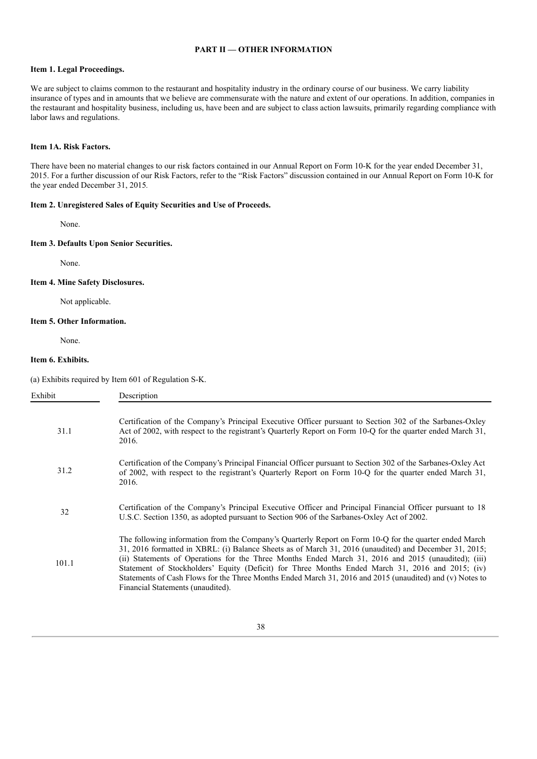# **PART II — OTHER INFORMATION**

# **Item 1. Legal Proceedings.**

We are subject to claims common to the restaurant and hospitality industry in the ordinary course of our business. We carry liability insurance of types and in amounts that we believe are commensurate with the nature and extent of our operations. In addition, companies in the restaurant and hospitality business, including us, have been and are subject to class action lawsuits, primarily regarding compliance with labor laws and regulations.

#### **Item 1A. Risk Factors.**

There have been no material changes to our risk factors contained in our Annual Report on Form 10-K for the year ended December 31, 2015. For a further discussion of our Risk Factors, refer to the "Risk Factors" discussion contained in our Annual Report on Form 10-K for the year ended December 31, 2015*.*

## **Item 2. Unregistered Sales of Equity Securities and Use of Proceeds.**

None.

# **Item 3. Defaults Upon Senior Securities.**

None.

# **Item 4. Mine Safety Disclosures.**

Not applicable.

# **Item 5. Other Information.**

None.

# **Item 6. Exhibits.**

(a) Exhibits required by Item 601 of Regulation S-K.

| Exhibit | Description                                                                                                                                                                                                                                                                                                                                                                                                                                                                                                                                                                  |
|---------|------------------------------------------------------------------------------------------------------------------------------------------------------------------------------------------------------------------------------------------------------------------------------------------------------------------------------------------------------------------------------------------------------------------------------------------------------------------------------------------------------------------------------------------------------------------------------|
| 31.1    | Certification of the Company's Principal Executive Officer pursuant to Section 302 of the Sarbanes-Oxley<br>Act of 2002, with respect to the registrant's Quarterly Report on Form 10-Q for the quarter ended March 31,<br>2016.                                                                                                                                                                                                                                                                                                                                             |
| 31.2    | Certification of the Company's Principal Financial Officer pursuant to Section 302 of the Sarbanes-Oxley Act<br>of 2002, with respect to the registrant's Quarterly Report on Form 10-Q for the quarter ended March 31,<br>2016.                                                                                                                                                                                                                                                                                                                                             |
| 32      | Certification of the Company's Principal Executive Officer and Principal Financial Officer pursuant to 18<br>U.S.C. Section 1350, as adopted pursuant to Section 906 of the Sarbanes-Oxley Act of 2002.                                                                                                                                                                                                                                                                                                                                                                      |
| 101.1   | The following information from the Company's Quarterly Report on Form 10-Q for the quarter ended March<br>31, 2016 formatted in XBRL: (i) Balance Sheets as of March 31, 2016 (unaudited) and December 31, 2015;<br>(ii) Statements of Operations for the Three Months Ended March 31, 2016 and 2015 (unaudited); (iii)<br>Statement of Stockholders' Equity (Deficit) for Three Months Ended March 31, 2016 and 2015; (iv)<br>Statements of Cash Flows for the Three Months Ended March 31, 2016 and 2015 (unaudited) and (v) Notes to<br>Financial Statements (unaudited). |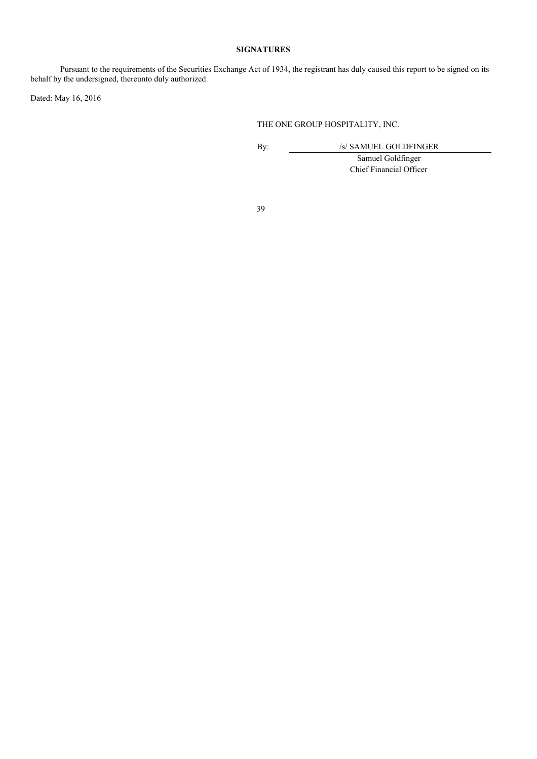# **SIGNATURES**

Pursuant to the requirements of the Securities Exchange Act of 1934, the registrant has duly caused this report to be signed on its behalf by the undersigned, thereunto duly authorized.

Dated: May 16, 2016

# THE ONE GROUP HOSPITALITY, INC.

By: /s/ SAMUEL GOLDFINGER

Samuel Goldfinger Chief Financial Officer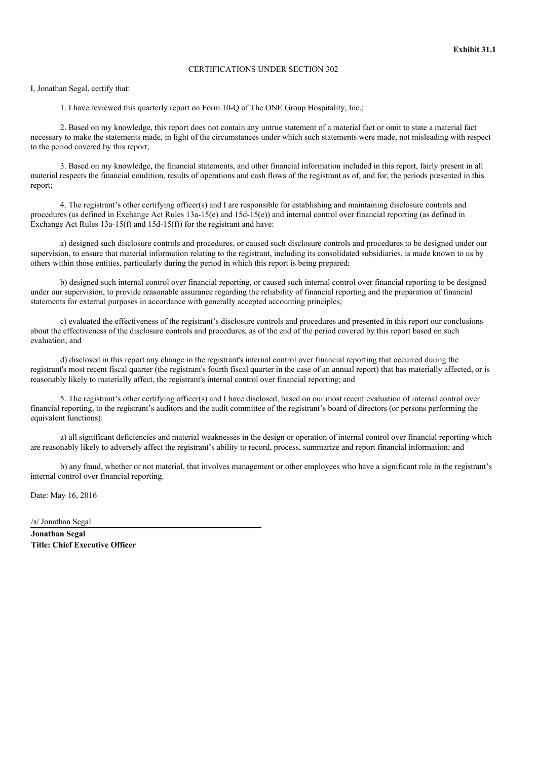# CERTIFICATIONS UNDER SECTION 302

I, Jonathan Segal, certify that:

1. I have reviewed this quarterly report on Form 10-Q of The ONE Group Hospitality, Inc.;

2. Based on my knowledge, this report does not contain any untrue statement of a material fact or omit to state a material fact necessary to make the statements made, in light of the circumstances under which such statements were made, not misleading with respect to the period covered by this report;

3. Based on my knowledge, the financial statements, and other financial information included in this report, fairly present in all material respects the financial condition, results of operations and cash flows of the registrant as of, and for, the periods presented in this report;

4. The registrant's other certifying officer(s) and I are responsible for establishing and maintaining disclosure controls and procedures (as defined in Exchange Act Rules 13a-15(e) and 15d-15(e)) and internal control over financial reporting (as defined in Exchange Act Rules  $13a-15(f)$  and  $15d-15(f)$  for the registrant and have:

a) designed such disclosure controls and procedures, or caused such disclosure controls and procedures to be designed under our supervision, to ensure that material information relating to the registrant, including its consolidated subsidiaries, is made known to us by others within those entities, particularly during the period in which this report is being prepared;

b) designed such internal control over financial reporting, or caused such internal control over financial reporting to be designed under our supervision, to provide reasonable assurance regarding the reliability of financial reporting and the preparation of financial statements for external purposes in accordance with generally accepted accounting principles;

c) evaluated the effectiveness of the registrant's disclosure controls and procedures and presented in this report our conclusions about the effectiveness of the disclosure controls and procedures, as of the end of the period covered by this report based on such evaluation; and

d) disclosed in this report any change in the registrant's internal control over financial reporting that occurred during the registrant's most recent fiscal quarter (the registrant's fourth fiscal quarter in the case of an annual report) that has materially affected, or is reasonably likely to materially affect, the registrant's internal control over financial reporting; and

5. The registrant's other certifying officer(s) and I have disclosed, based on our most recent evaluation of internal control over financial reporting, to the registrant's auditors and the audit committee of the registrant's board of directors (or persons performing the equivalent functions):

a) all significant deficiencies and material weaknesses in the design or operation of internal control over financial reporting which are reasonably likely to adversely affect the registrant's ability to record, process, summarize and report financial information; and

b) any fraud, whether or not material, that involves management or other employees who have a significant role in the registrant's internal control over financial reporting.

Date: May 16, 2016

/s/ Jonathan Segal

**Jonathan Segal Title: Chief Executive Officer**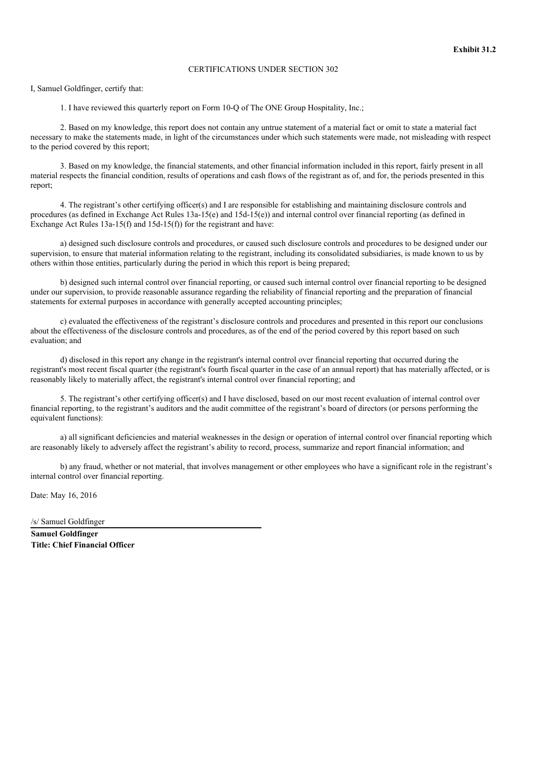# CERTIFICATIONS UNDER SECTION 302

I, Samuel Goldfinger, certify that:

1. I have reviewed this quarterly report on Form 10-Q of The ONE Group Hospitality, Inc.;

2. Based on my knowledge, this report does not contain any untrue statement of a material fact or omit to state a material fact necessary to make the statements made, in light of the circumstances under which such statements were made, not misleading with respect to the period covered by this report;

3. Based on my knowledge, the financial statements, and other financial information included in this report, fairly present in all material respects the financial condition, results of operations and cash flows of the registrant as of, and for, the periods presented in this report;

4. The registrant's other certifying officer(s) and I are responsible for establishing and maintaining disclosure controls and procedures (as defined in Exchange Act Rules 13a-15(e) and 15d-15(e)) and internal control over financial reporting (as defined in Exchange Act Rules  $13a-15(f)$  and  $15d-15(f)$  for the registrant and have:

a) designed such disclosure controls and procedures, or caused such disclosure controls and procedures to be designed under our supervision, to ensure that material information relating to the registrant, including its consolidated subsidiaries, is made known to us by others within those entities, particularly during the period in which this report is being prepared;

b) designed such internal control over financial reporting, or caused such internal control over financial reporting to be designed under our supervision, to provide reasonable assurance regarding the reliability of financial reporting and the preparation of financial statements for external purposes in accordance with generally accepted accounting principles;

c) evaluated the effectiveness of the registrant's disclosure controls and procedures and presented in this report our conclusions about the effectiveness of the disclosure controls and procedures, as of the end of the period covered by this report based on such evaluation; and

d) disclosed in this report any change in the registrant's internal control over financial reporting that occurred during the registrant's most recent fiscal quarter (the registrant's fourth fiscal quarter in the case of an annual report) that has materially affected, or is reasonably likely to materially affect, the registrant's internal control over financial reporting; and

5. The registrant's other certifying officer(s) and I have disclosed, based on our most recent evaluation of internal control over financial reporting, to the registrant's auditors and the audit committee of the registrant's board of directors (or persons performing the equivalent functions):

a) all significant deficiencies and material weaknesses in the design or operation of internal control over financial reporting which are reasonably likely to adversely affect the registrant's ability to record, process, summarize and report financial information; and

b) any fraud, whether or not material, that involves management or other employees who have a significant role in the registrant's internal control over financial reporting.

Date: May 16, 2016

/s/ Samuel Goldfinger

**Samuel Goldfinger Title: Chief Financial Officer**